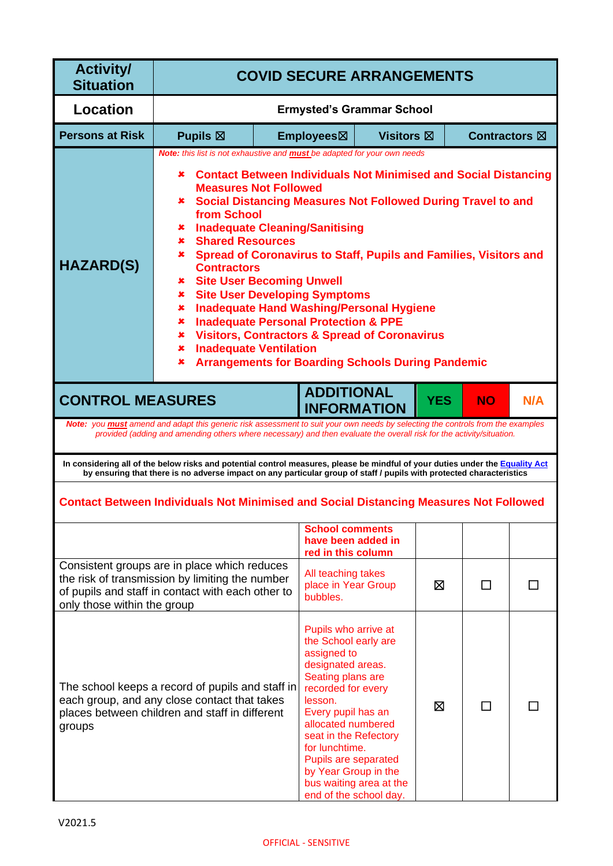| <b>Activity/</b><br><b>Situation</b>                                                                                                                                                                                                                                                                                                                                                                                                                                                                                                                                                                                                                                                                                                                                                                                                                                      | <b>COVID SECURE ARRANGEMENTS</b>                                                                                                                                                                                                                      |                        |                                                                                                                                                                                                                                                                                                          |            |                      |     |
|---------------------------------------------------------------------------------------------------------------------------------------------------------------------------------------------------------------------------------------------------------------------------------------------------------------------------------------------------------------------------------------------------------------------------------------------------------------------------------------------------------------------------------------------------------------------------------------------------------------------------------------------------------------------------------------------------------------------------------------------------------------------------------------------------------------------------------------------------------------------------|-------------------------------------------------------------------------------------------------------------------------------------------------------------------------------------------------------------------------------------------------------|------------------------|----------------------------------------------------------------------------------------------------------------------------------------------------------------------------------------------------------------------------------------------------------------------------------------------------------|------------|----------------------|-----|
| Location                                                                                                                                                                                                                                                                                                                                                                                                                                                                                                                                                                                                                                                                                                                                                                                                                                                                  |                                                                                                                                                                                                                                                       |                        | <b>Ermysted's Grammar School</b>                                                                                                                                                                                                                                                                         |            |                      |     |
| <b>Persons at Risk</b>                                                                                                                                                                                                                                                                                                                                                                                                                                                                                                                                                                                                                                                                                                                                                                                                                                                    | Pupils $\boxtimes$                                                                                                                                                                                                                                    | Employees⊠             | <b>Visitors</b> ⊠                                                                                                                                                                                                                                                                                        |            | <b>Contractors</b> ⊠ |     |
| Note: this list is not exhaustive and <b>must</b> be adapted for your own needs<br><b>Contact Between Individuals Not Minimised and Social Distancing</b><br>×<br><b>Measures Not Followed</b><br><b>Social Distancing Measures Not Followed During Travel to and</b><br>x.<br>from School<br><b>Inadequate Cleaning/Sanitising</b><br>x<br><b>Shared Resources</b><br>×<br>Spread of Coronavirus to Staff, Pupils and Families, Visitors and<br>x.<br><b>HAZARD(S)</b><br><b>Contractors</b><br><b>*</b> Site User Becoming Unwell<br><b>Site User Developing Symptoms</b><br>×<br><b>Inadequate Hand Washing/Personal Hygiene</b><br>×<br><b>Inadequate Personal Protection &amp; PPE</b><br>x<br><b>Visitors, Contractors &amp; Spread of Coronavirus</b><br>x.<br><b>Inadequate Ventilation</b><br>×<br><b>Arrangements for Boarding Schools During Pandemic</b><br>× |                                                                                                                                                                                                                                                       |                        |                                                                                                                                                                                                                                                                                                          |            |                      |     |
| <b>CONTROL MEASURES</b>                                                                                                                                                                                                                                                                                                                                                                                                                                                                                                                                                                                                                                                                                                                                                                                                                                                   | Note: you must amend and adapt this generic risk assessment to suit your own needs by selecting the controls from the examples                                                                                                                        |                        | <b>ADDITIONAL</b><br><b>INFORMATION</b>                                                                                                                                                                                                                                                                  | <b>YES</b> | <b>NO</b>            | N/A |
|                                                                                                                                                                                                                                                                                                                                                                                                                                                                                                                                                                                                                                                                                                                                                                                                                                                                           | provided (adding and amending others where necessary) and then evaluate the overall risk for the activity/situation.                                                                                                                                  |                        |                                                                                                                                                                                                                                                                                                          |            |                      |     |
|                                                                                                                                                                                                                                                                                                                                                                                                                                                                                                                                                                                                                                                                                                                                                                                                                                                                           | In considering all of the below risks and potential control measures, please be mindful of your duties under the Equality Act<br>by ensuring that there is no adverse impact on any particular group of staff / pupils with protected characteristics |                        |                                                                                                                                                                                                                                                                                                          |            |                      |     |
|                                                                                                                                                                                                                                                                                                                                                                                                                                                                                                                                                                                                                                                                                                                                                                                                                                                                           | <b>Contact Between Individuals Not Minimised and Social Distancing Measures Not Followed</b>                                                                                                                                                          |                        |                                                                                                                                                                                                                                                                                                          |            |                      |     |
|                                                                                                                                                                                                                                                                                                                                                                                                                                                                                                                                                                                                                                                                                                                                                                                                                                                                           |                                                                                                                                                                                                                                                       |                        | <b>School comments</b><br>have been added in<br>red in this column                                                                                                                                                                                                                                       |            |                      |     |
| only those within the group                                                                                                                                                                                                                                                                                                                                                                                                                                                                                                                                                                                                                                                                                                                                                                                                                                               | Consistent groups are in place which reduces<br>the risk of transmission by limiting the number<br>of pupils and staff in contact with each other to                                                                                                  | bubbles.               | All teaching takes<br>place in Year Group                                                                                                                                                                                                                                                                | ⊠          | П                    |     |
| groups                                                                                                                                                                                                                                                                                                                                                                                                                                                                                                                                                                                                                                                                                                                                                                                                                                                                    | The school keeps a record of pupils and staff in<br>each group, and any close contact that takes<br>places between children and staff in different                                                                                                    | assigned to<br>lesson. | Pupils who arrive at<br>the School early are<br>designated areas.<br>Seating plans are<br>recorded for every<br>Every pupil has an<br>allocated numbered<br>seat in the Refectory<br>for lunchtime.<br>Pupils are separated<br>by Year Group in the<br>bus waiting area at the<br>end of the school day. | ⊠          |                      |     |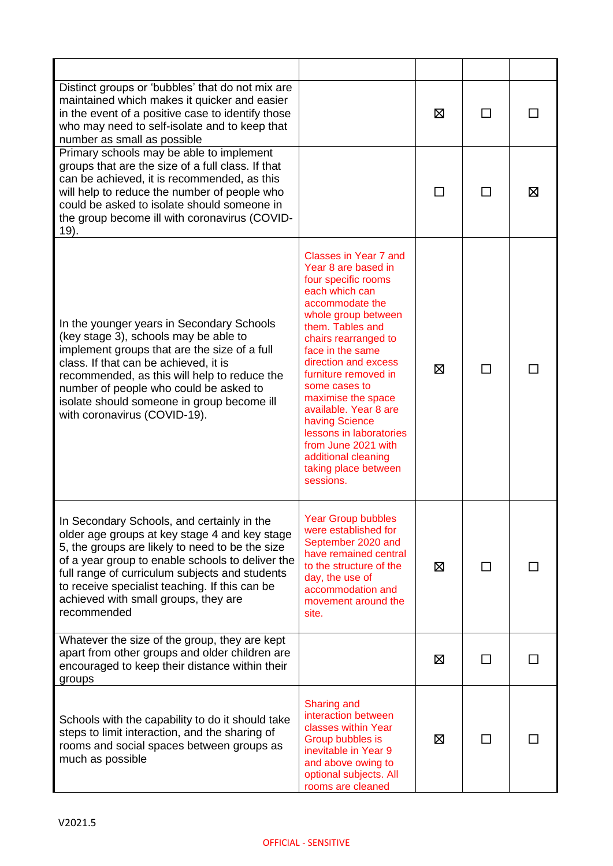| Distinct groups or 'bubbles' that do not mix are<br>maintained which makes it quicker and easier<br>in the event of a positive case to identify those<br>who may need to self-isolate and to keep that<br>number as small as possible                                                                                                                         |                                                                                                                                                                                                                                                                                                                                                                                                                                                 | ⊠ |    |   |
|---------------------------------------------------------------------------------------------------------------------------------------------------------------------------------------------------------------------------------------------------------------------------------------------------------------------------------------------------------------|-------------------------------------------------------------------------------------------------------------------------------------------------------------------------------------------------------------------------------------------------------------------------------------------------------------------------------------------------------------------------------------------------------------------------------------------------|---|----|---|
| Primary schools may be able to implement<br>groups that are the size of a full class. If that<br>can be achieved, it is recommended, as this<br>will help to reduce the number of people who<br>could be asked to isolate should someone in<br>the group become ill with coronavirus (COVID-<br>19).                                                          |                                                                                                                                                                                                                                                                                                                                                                                                                                                 |   |    | ⊠ |
| In the younger years in Secondary Schools<br>(key stage 3), schools may be able to<br>implement groups that are the size of a full<br>class. If that can be achieved, it is<br>recommended, as this will help to reduce the<br>number of people who could be asked to<br>isolate should someone in group become ill<br>with coronavirus (COVID-19).           | Classes in Year 7 and<br>Year 8 are based in<br>four specific rooms<br>each which can<br>accommodate the<br>whole group between<br>them. Tables and<br>chairs rearranged to<br>face in the same<br>direction and excess<br>furniture removed in<br>some cases to<br>maximise the space<br>available. Year 8 are<br>having Science<br>lessons in laboratories<br>from June 2021 with<br>additional cleaning<br>taking place between<br>sessions. | X |    |   |
| In Secondary Schools, and certainly in the<br>older age groups at key stage 4 and key stage<br>5, the groups are likely to need to be the size<br>of a year group to enable schools to deliver the<br>full range of curriculum subjects and students<br>to receive specialist teaching. If this can be<br>achieved with small groups, they are<br>recommended | <b>Year Group bubbles</b><br>were established for<br>September 2020 and<br>have remained central<br>to the structure of the<br>day, the use of<br>accommodation and<br>movement around the<br>site.                                                                                                                                                                                                                                             | ⊠ | П  |   |
| Whatever the size of the group, they are kept<br>apart from other groups and older children are<br>encouraged to keep their distance within their<br>groups                                                                                                                                                                                                   |                                                                                                                                                                                                                                                                                                                                                                                                                                                 | ⊠ | □  |   |
| Schools with the capability to do it should take<br>steps to limit interaction, and the sharing of<br>rooms and social spaces between groups as<br>much as possible                                                                                                                                                                                           | <b>Sharing and</b><br>interaction between<br>classes within Year<br>Group bubbles is<br>inevitable in Year 9<br>and above owing to<br>optional subjects. All<br>rooms are cleaned                                                                                                                                                                                                                                                               | ⊠ | ΙI |   |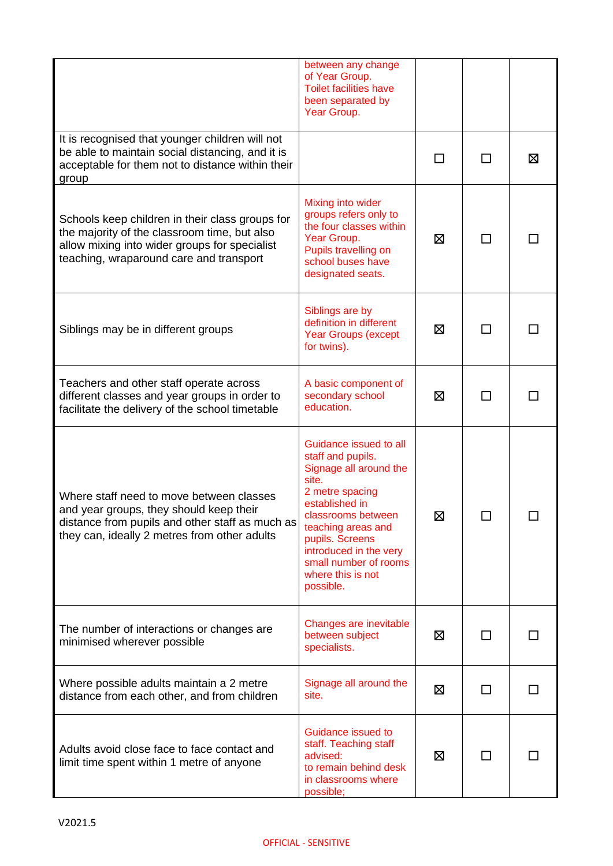|                                                                                                                                                                                             | between any change<br>of Year Group.<br><b>Toilet facilities have</b><br>been separated by<br>Year Group.                                                                                                                                                               |   |        |   |
|---------------------------------------------------------------------------------------------------------------------------------------------------------------------------------------------|-------------------------------------------------------------------------------------------------------------------------------------------------------------------------------------------------------------------------------------------------------------------------|---|--------|---|
| It is recognised that younger children will not<br>be able to maintain social distancing, and it is<br>acceptable for them not to distance within their<br>group                            |                                                                                                                                                                                                                                                                         | П | П      | 区 |
| Schools keep children in their class groups for<br>the majority of the classroom time, but also<br>allow mixing into wider groups for specialist<br>teaching, wraparound care and transport | Mixing into wider<br>groups refers only to<br>the four classes within<br>Year Group.<br>Pupils travelling on<br>school buses have<br>designated seats.                                                                                                                  | ⊠ | $\Box$ |   |
| Siblings may be in different groups                                                                                                                                                         | Siblings are by<br>definition in different<br><b>Year Groups (except</b><br>for twins).                                                                                                                                                                                 | ⊠ |        |   |
| Teachers and other staff operate across<br>different classes and year groups in order to<br>facilitate the delivery of the school timetable                                                 | A basic component of<br>secondary school<br>education.                                                                                                                                                                                                                  | ⊠ |        |   |
| Where staff need to move between classes<br>and year groups, they should keep their<br>distance from pupils and other staff as much as<br>they can, ideally 2 metres from other adults      | Guidance issued to all<br>staff and pupils.<br>Signage all around the<br>site.<br>2 metre spacing<br>established in<br>classrooms between<br>teaching areas and<br>pupils. Screens<br>introduced in the very<br>small number of rooms<br>where this is not<br>possible. | 区 |        |   |
| The number of interactions or changes are<br>minimised wherever possible                                                                                                                    | Changes are inevitable<br>between subject<br>specialists.                                                                                                                                                                                                               | ⊠ |        |   |
| Where possible adults maintain a 2 metre<br>distance from each other, and from children                                                                                                     | Signage all around the<br>site.                                                                                                                                                                                                                                         | ⊠ | П      |   |
| Adults avoid close face to face contact and<br>limit time spent within 1 metre of anyone                                                                                                    | Guidance issued to<br>staff. Teaching staff<br>advised:<br>to remain behind desk<br>in classrooms where<br>possible;                                                                                                                                                    | ⊠ | $\Box$ |   |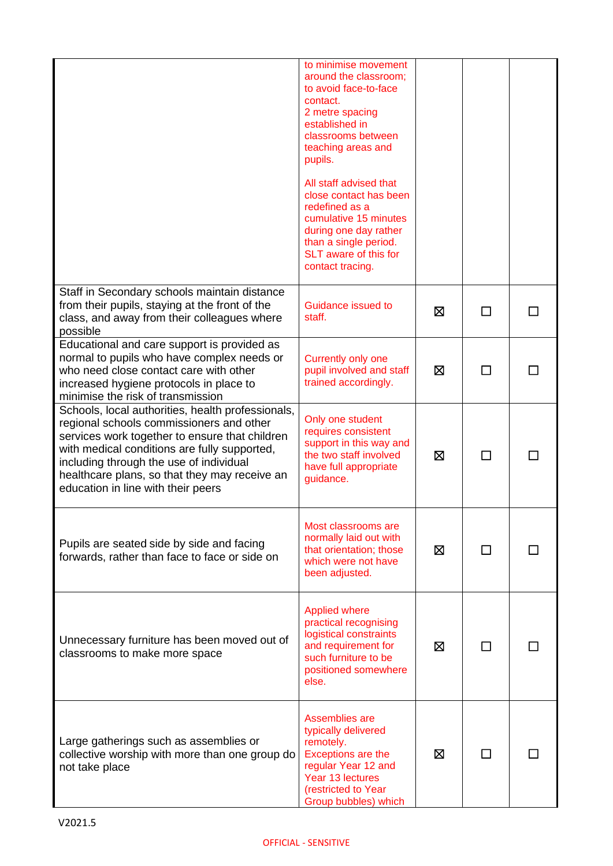|                                                                                                                                                                                                                                                                                                                                   | to minimise movement<br>around the classroom;<br>to avoid face-to-face<br>contact.<br>2 metre spacing<br>established in<br>classrooms between<br>teaching areas and<br>pupils.<br>All staff advised that<br>close contact has been<br>redefined as a<br>cumulative 15 minutes<br>during one day rather<br>than a single period.<br>SLT aware of this for<br>contact tracing. |   |    |  |
|-----------------------------------------------------------------------------------------------------------------------------------------------------------------------------------------------------------------------------------------------------------------------------------------------------------------------------------|------------------------------------------------------------------------------------------------------------------------------------------------------------------------------------------------------------------------------------------------------------------------------------------------------------------------------------------------------------------------------|---|----|--|
| Staff in Secondary schools maintain distance<br>from their pupils, staying at the front of the<br>class, and away from their colleagues where<br>possible                                                                                                                                                                         | Guidance issued to<br>staff.                                                                                                                                                                                                                                                                                                                                                 | ⊠ | ΙI |  |
| Educational and care support is provided as<br>normal to pupils who have complex needs or<br>who need close contact care with other<br>increased hygiene protocols in place to<br>minimise the risk of transmission                                                                                                               | Currently only one<br>pupil involved and staff<br>trained accordingly.                                                                                                                                                                                                                                                                                                       | ⊠ |    |  |
| Schools, local authorities, health professionals,<br>regional schools commissioners and other<br>services work together to ensure that children<br>with medical conditions are fully supported,<br>including through the use of individual<br>healthcare plans, so that they may receive an<br>education in line with their peers | Only one student<br>requires consistent<br>support in this way and<br>the two staff involved<br>have full appropriate<br>guidance.                                                                                                                                                                                                                                           | ⊠ | П  |  |
| Pupils are seated side by side and facing<br>forwards, rather than face to face or side on                                                                                                                                                                                                                                        | Most classrooms are<br>normally laid out with<br>that orientation; those<br>which were not have<br>been adjusted.                                                                                                                                                                                                                                                            | ⊠ |    |  |
| Unnecessary furniture has been moved out of<br>classrooms to make more space                                                                                                                                                                                                                                                      | <b>Applied where</b><br>practical recognising<br>logistical constraints<br>and requirement for<br>such furniture to be<br>positioned somewhere<br>else.                                                                                                                                                                                                                      | ⊠ | ΙI |  |
| Large gatherings such as assemblies or<br>collective worship with more than one group do<br>not take place                                                                                                                                                                                                                        | Assemblies are<br>typically delivered<br>remotely.<br>Exceptions are the<br>regular Year 12 and<br>Year 13 lectures<br>(restricted to Year<br>Group bubbles) which                                                                                                                                                                                                           | ⊠ |    |  |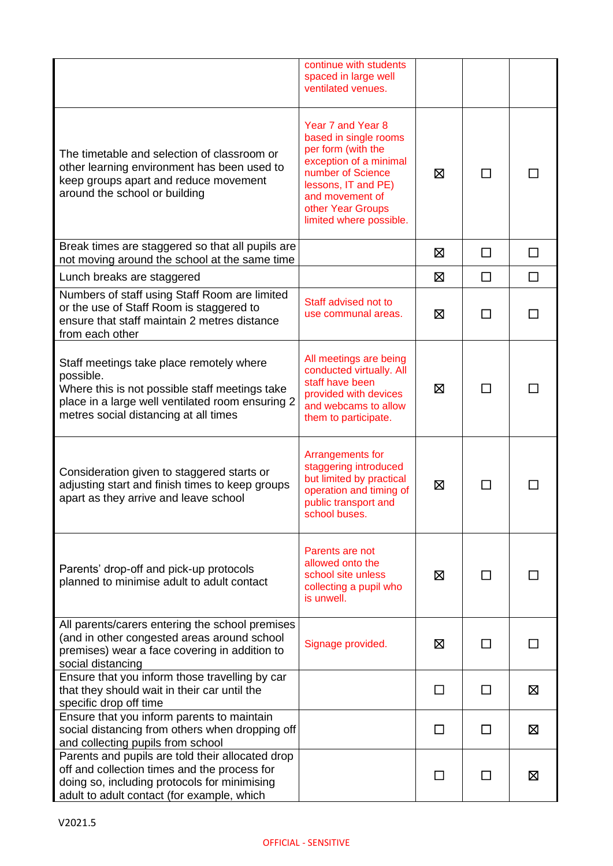|                                                                                                                                                                                                      | continue with students<br>spaced in large well<br>ventilated venues.                                                                                                                                      |         |              |        |
|------------------------------------------------------------------------------------------------------------------------------------------------------------------------------------------------------|-----------------------------------------------------------------------------------------------------------------------------------------------------------------------------------------------------------|---------|--------------|--------|
| The timetable and selection of classroom or<br>other learning environment has been used to<br>keep groups apart and reduce movement<br>around the school or building                                 | Year 7 and Year 8<br>based in single rooms<br>per form (with the<br>exception of a minimal<br>number of Science<br>lessons, IT and PE)<br>and movement of<br>other Year Groups<br>limited where possible. | 区       |              |        |
| Break times are staggered so that all pupils are<br>not moving around the school at the same time                                                                                                    |                                                                                                                                                                                                           | ⊠       | П            | П      |
| Lunch breaks are staggered                                                                                                                                                                           |                                                                                                                                                                                                           | ⊠       | $\Box$       | $\Box$ |
| Numbers of staff using Staff Room are limited<br>or the use of Staff Room is staggered to<br>ensure that staff maintain 2 metres distance<br>from each other                                         | Staff advised not to<br>use communal areas.                                                                                                                                                               | ⊠       |              |        |
| Staff meetings take place remotely where<br>possible.<br>Where this is not possible staff meetings take<br>place in a large well ventilated room ensuring 2<br>metres social distancing at all times | All meetings are being<br>conducted virtually. All<br>staff have been<br>provided with devices<br>and webcams to allow<br>them to participate.                                                            | ⊠       |              |        |
| Consideration given to staggered starts or<br>adjusting start and finish times to keep groups<br>apart as they arrive and leave school                                                               | Arrangements for<br>staggering introduced<br>but limited by practical<br>operation and timing of<br>public transport and<br>school buses.                                                                 | ⊠       | $\mathsf{L}$ |        |
| Parents' drop-off and pick-up protocols<br>planned to minimise adult to adult contact                                                                                                                | Parents are not<br>allowed onto the<br>school site unless<br>collecting a pupil who<br>is unwell.                                                                                                         | ⊠       |              |        |
| All parents/carers entering the school premises<br>(and in other congested areas around school<br>premises) wear a face covering in addition to<br>social distancing                                 | Signage provided.                                                                                                                                                                                         | ⊠       |              |        |
| Ensure that you inform those travelling by car<br>that they should wait in their car until the<br>specific drop off time                                                                             |                                                                                                                                                                                                           | П       | П            | Σ      |
| Ensure that you inform parents to maintain<br>social distancing from others when dropping off<br>and collecting pupils from school                                                                   |                                                                                                                                                                                                           | $\perp$ | ΙI           | 区      |
| Parents and pupils are told their allocated drop<br>off and collection times and the process for<br>doing so, including protocols for minimising<br>adult to adult contact (for example, which       |                                                                                                                                                                                                           | $\perp$ |              | ⊠      |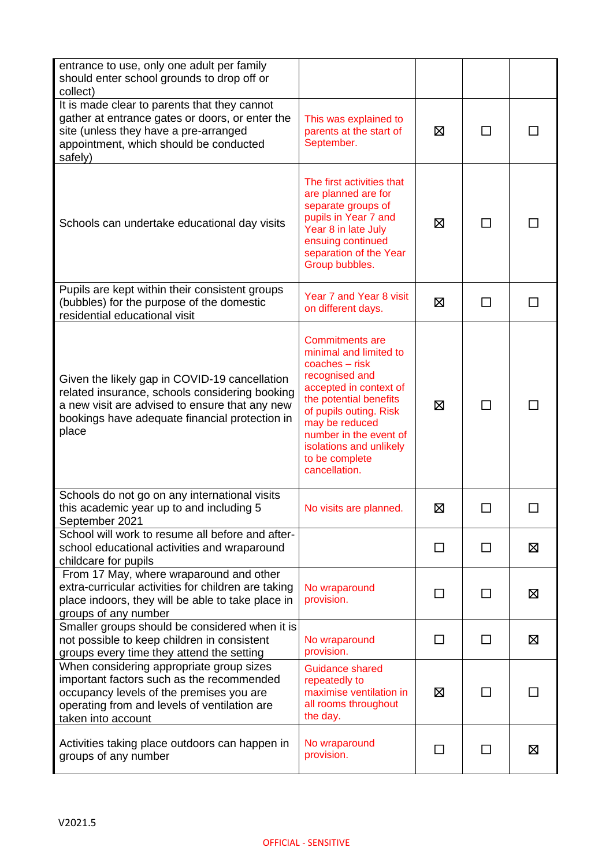| entrance to use, only one adult per family<br>should enter school grounds to drop off or<br>collect)                                                                                                         |                                                                                                                                                                                                                                                                                |              |              |   |
|--------------------------------------------------------------------------------------------------------------------------------------------------------------------------------------------------------------|--------------------------------------------------------------------------------------------------------------------------------------------------------------------------------------------------------------------------------------------------------------------------------|--------------|--------------|---|
| It is made clear to parents that they cannot<br>gather at entrance gates or doors, or enter the<br>site (unless they have a pre-arranged<br>appointment, which should be conducted<br>safely)                | This was explained to<br>parents at the start of<br>September.                                                                                                                                                                                                                 | ⊠            |              |   |
| Schools can undertake educational day visits                                                                                                                                                                 | The first activities that<br>are planned are for<br>separate groups of<br>pupils in Year 7 and<br>Year 8 in late July<br>ensuing continued<br>separation of the Year<br>Group bubbles.                                                                                         | ⊠            | ΙI           |   |
| Pupils are kept within their consistent groups<br>(bubbles) for the purpose of the domestic<br>residential educational visit                                                                                 | Year 7 and Year 8 visit<br>on different days.                                                                                                                                                                                                                                  | ⊠            |              |   |
| Given the likely gap in COVID-19 cancellation<br>related insurance, schools considering booking<br>a new visit are advised to ensure that any new<br>bookings have adequate financial protection in<br>place | <b>Commitments are</b><br>minimal and limited to<br>$coaches - risk$<br>recognised and<br>accepted in context of<br>the potential benefits<br>of pupils outing. Risk<br>may be reduced<br>number in the event of<br>isolations and unlikely<br>to be complete<br>cancellation. | 区            | ΙI           |   |
| Schools do not go on any international visits<br>this academic year up to and including 5<br>September 2021                                                                                                  | No visits are planned.                                                                                                                                                                                                                                                         | ⊠            |              |   |
| School will work to resume all before and after-<br>school educational activities and wraparound<br>childcare for pupils                                                                                     |                                                                                                                                                                                                                                                                                | $\mathsf{L}$ | $\mathbf{I}$ | 区 |
| From 17 May, where wraparound and other<br>extra-curricular activities for children are taking<br>place indoors, they will be able to take place in<br>groups of any number                                  | No wraparound<br>provision.                                                                                                                                                                                                                                                    | ΙI           | $\mathbf{I}$ | ⊠ |
| Smaller groups should be considered when it is<br>not possible to keep children in consistent<br>groups every time they attend the setting                                                                   | No wraparound<br>provision.                                                                                                                                                                                                                                                    | П            | □            | 区 |
| When considering appropriate group sizes<br>important factors such as the recommended<br>occupancy levels of the premises you are<br>operating from and levels of ventilation are<br>taken into account      | Guidance shared<br>repeatedly to<br>maximise ventilation in<br>all rooms throughout<br>the day.                                                                                                                                                                                | ⊠            | $\mathbf{I}$ |   |
| Activities taking place outdoors can happen in<br>groups of any number                                                                                                                                       | No wraparound<br>provision.                                                                                                                                                                                                                                                    | $\mathsf{L}$ | П            | 区 |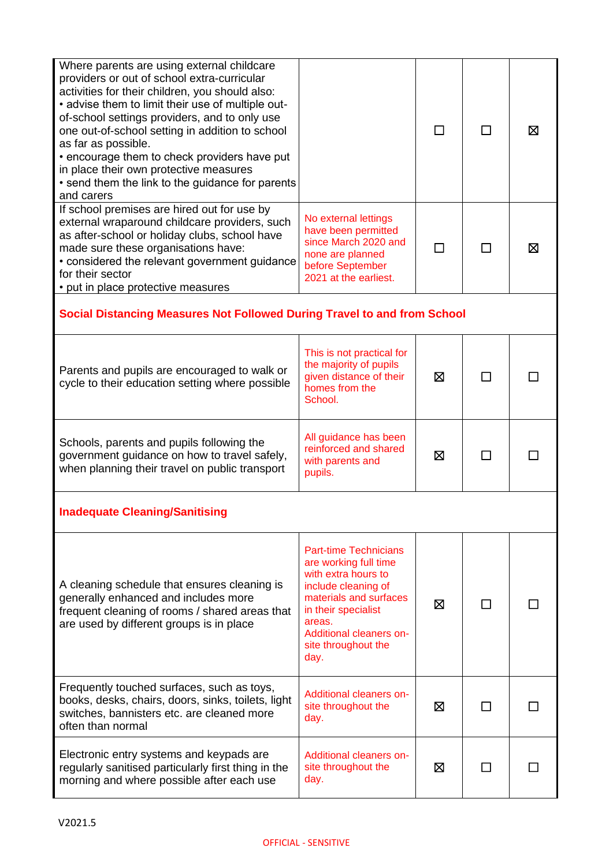| Where parents are using external childcare<br>providers or out of school extra-curricular<br>activities for their children, you should also:<br>• advise them to limit their use of multiple out-<br>of-school settings providers, and to only use<br>one out-of-school setting in addition to school<br>as far as possible.<br>• encourage them to check providers have put<br>in place their own protective measures<br>• send them the link to the guidance for parents<br>and carers |                                                                                                                                                                                                                          |   | Χ |
|------------------------------------------------------------------------------------------------------------------------------------------------------------------------------------------------------------------------------------------------------------------------------------------------------------------------------------------------------------------------------------------------------------------------------------------------------------------------------------------|--------------------------------------------------------------------------------------------------------------------------------------------------------------------------------------------------------------------------|---|---|
| If school premises are hired out for use by<br>external wraparound childcare providers, such<br>as after-school or holiday clubs, school have<br>made sure these organisations have:<br>• considered the relevant government guidance<br>for their sector<br>• put in place protective measures                                                                                                                                                                                          | No external lettings<br>have been permitted<br>since March 2020 and<br>none are planned<br>before September<br>2021 at the earliest.                                                                                     |   | ⊠ |
| Social Distancing Measures Not Followed During Travel to and from School                                                                                                                                                                                                                                                                                                                                                                                                                 |                                                                                                                                                                                                                          |   |   |
| Parents and pupils are encouraged to walk or<br>cycle to their education setting where possible                                                                                                                                                                                                                                                                                                                                                                                          | This is not practical for<br>the majority of pupils<br>given distance of their<br>homes from the<br>School.                                                                                                              | ⊠ |   |
| Schools, parents and pupils following the<br>government guidance on how to travel safely,<br>when planning their travel on public transport                                                                                                                                                                                                                                                                                                                                              | All guidance has been<br>reinforced and shared<br>with parents and<br>pupils.                                                                                                                                            | ⊠ |   |
| <b>Inadequate Cleaning/Sanitising</b>                                                                                                                                                                                                                                                                                                                                                                                                                                                    |                                                                                                                                                                                                                          |   |   |
| A cleaning schedule that ensures cleaning is<br>generally enhanced and includes more<br>frequent cleaning of rooms / shared areas that<br>are used by different groups is in place                                                                                                                                                                                                                                                                                                       | <b>Part-time Technicians</b><br>are working full time<br>with extra hours to<br>include cleaning of<br>materials and surfaces<br>in their specialist<br>areas.<br>Additional cleaners on-<br>site throughout the<br>day. | ⊠ |   |
| Frequently touched surfaces, such as toys,<br>books, desks, chairs, doors, sinks, toilets, light<br>switches, bannisters etc. are cleaned more<br>often than normal                                                                                                                                                                                                                                                                                                                      | Additional cleaners on-<br>site throughout the<br>day.                                                                                                                                                                   | ⊠ |   |
| Electronic entry systems and keypads are<br>regularly sanitised particularly first thing in the<br>morning and where possible after each use                                                                                                                                                                                                                                                                                                                                             | Additional cleaners on-<br>site throughout the<br>day.                                                                                                                                                                   | ⊠ |   |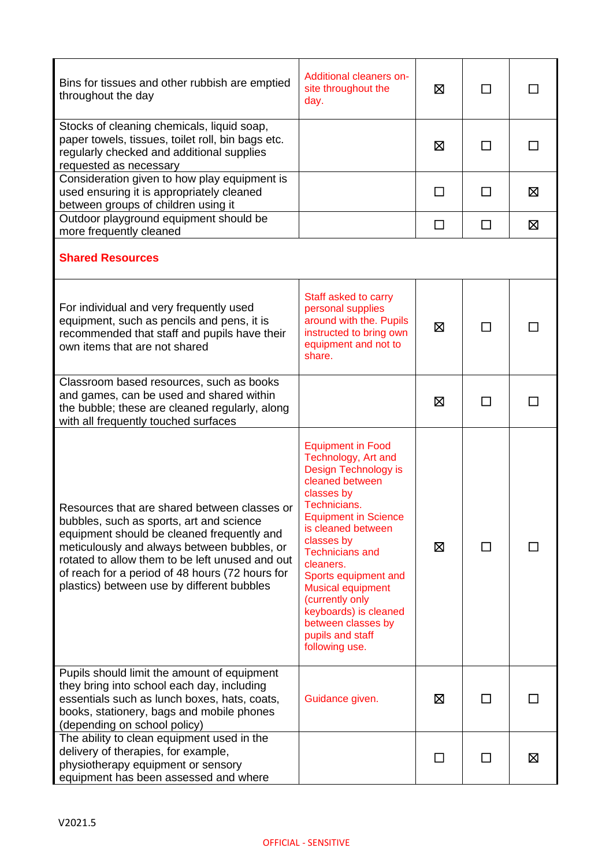| Bins for tissues and other rubbish are emptied<br>throughout the day                                                                                                                                                                                                                                                                      | Additional cleaners on-<br>site throughout the<br>day.                                                                                                                                                                                                                                                                                                                                         | ⊠      | $\mathsf{L}$   |              |
|-------------------------------------------------------------------------------------------------------------------------------------------------------------------------------------------------------------------------------------------------------------------------------------------------------------------------------------------|------------------------------------------------------------------------------------------------------------------------------------------------------------------------------------------------------------------------------------------------------------------------------------------------------------------------------------------------------------------------------------------------|--------|----------------|--------------|
| Stocks of cleaning chemicals, liquid soap,<br>paper towels, tissues, toilet roll, bin bags etc.<br>regularly checked and additional supplies<br>requested as necessary                                                                                                                                                                    |                                                                                                                                                                                                                                                                                                                                                                                                | ⊠      | ΙI             | $\mathbf{I}$ |
| Consideration given to how play equipment is<br>used ensuring it is appropriately cleaned<br>between groups of children using it                                                                                                                                                                                                          |                                                                                                                                                                                                                                                                                                                                                                                                | П      |                | ⊠            |
| Outdoor playground equipment should be<br>more frequently cleaned                                                                                                                                                                                                                                                                         |                                                                                                                                                                                                                                                                                                                                                                                                | $\Box$ | □              | 区            |
| <b>Shared Resources</b>                                                                                                                                                                                                                                                                                                                   |                                                                                                                                                                                                                                                                                                                                                                                                |        |                |              |
| For individual and very frequently used<br>equipment, such as pencils and pens, it is<br>recommended that staff and pupils have their<br>own items that are not shared                                                                                                                                                                    | Staff asked to carry<br>personal supplies<br>around with the. Pupils<br>instructed to bring own<br>equipment and not to<br>share.                                                                                                                                                                                                                                                              | X      |                |              |
| Classroom based resources, such as books<br>and games, can be used and shared within<br>the bubble; these are cleaned regularly, along<br>with all frequently touched surfaces                                                                                                                                                            |                                                                                                                                                                                                                                                                                                                                                                                                | ⊠      |                |              |
| Resources that are shared between classes or<br>bubbles, such as sports, art and science<br>equipment should be cleaned frequently and<br>meticulously and always between bubbles, or<br>rotated to allow them to be left unused and out<br>of reach for a period of 48 hours (72 hours for<br>plastics) between use by different bubbles | <b>Equipment in Food</b><br>Technology, Art and<br>Design Technology is<br>cleaned between<br>classes by<br>Technicians.<br><b>Equipment in Science</b><br>is cleaned between<br>classes by<br><b>Technicians and</b><br>cleaners.<br>Sports equipment and<br><b>Musical equipment</b><br>(currently only<br>keyboards) is cleaned<br>between classes by<br>pupils and staff<br>following use. | ⊠      |                |              |
| Pupils should limit the amount of equipment<br>they bring into school each day, including<br>essentials such as lunch boxes, hats, coats,<br>books, stationery, bags and mobile phones<br>(depending on school policy)                                                                                                                    | Guidance given.                                                                                                                                                                                                                                                                                                                                                                                | ⊠      | $\blacksquare$ |              |
| The ability to clean equipment used in the<br>delivery of therapies, for example,<br>physiotherapy equipment or sensory<br>equipment has been assessed and where                                                                                                                                                                          |                                                                                                                                                                                                                                                                                                                                                                                                | l 1    | $\mathbf{I}$   | ⊠            |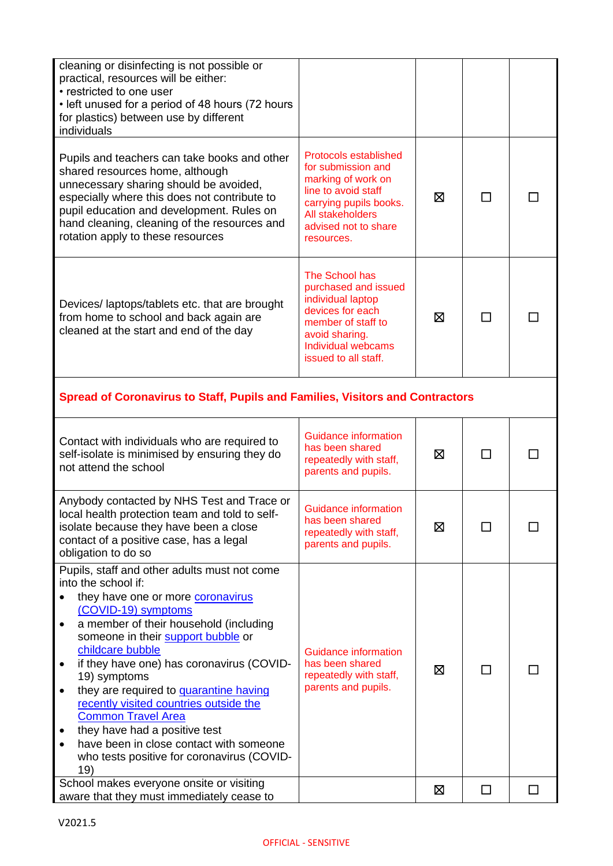| cleaning or disinfecting is not possible or<br>practical, resources will be either:<br>• restricted to one user<br>• left unused for a period of 48 hours (72 hours<br>for plastics) between use by different<br>individuals                                                                                                                                                                                                                                                                                                                                                                                                   |                                                                                                                                                                                     |   |              |  |
|--------------------------------------------------------------------------------------------------------------------------------------------------------------------------------------------------------------------------------------------------------------------------------------------------------------------------------------------------------------------------------------------------------------------------------------------------------------------------------------------------------------------------------------------------------------------------------------------------------------------------------|-------------------------------------------------------------------------------------------------------------------------------------------------------------------------------------|---|--------------|--|
| Pupils and teachers can take books and other<br>shared resources home, although<br>unnecessary sharing should be avoided,<br>especially where this does not contribute to<br>pupil education and development. Rules on<br>hand cleaning, cleaning of the resources and<br>rotation apply to these resources                                                                                                                                                                                                                                                                                                                    | <b>Protocols established</b><br>for submission and<br>marking of work on<br>line to avoid staff<br>carrying pupils books.<br>All stakeholders<br>advised not to share<br>resources. | ⊠ | ΙI           |  |
| Devices/laptops/tablets etc. that are brought<br>from home to school and back again are<br>cleaned at the start and end of the day                                                                                                                                                                                                                                                                                                                                                                                                                                                                                             | The School has<br>purchased and issued<br>individual laptop<br>devices for each<br>member of staff to<br>avoid sharing.<br><b>Individual webcams</b><br>issued to all staff.        | ⊠ | П            |  |
| Spread of Coronavirus to Staff, Pupils and Families, Visitors and Contractors                                                                                                                                                                                                                                                                                                                                                                                                                                                                                                                                                  |                                                                                                                                                                                     |   |              |  |
| Contact with individuals who are required to<br>self-isolate is minimised by ensuring they do<br>not attend the school                                                                                                                                                                                                                                                                                                                                                                                                                                                                                                         | Guidance information<br>has been shared<br>repeatedly with staff,<br>parents and pupils.                                                                                            | ⊠ | $\mathsf{L}$ |  |
| Anybody contacted by NHS Test and Trace or<br>local health protection team and told to self-<br>isolate because they have been a close<br>contact of a positive case, has a legal<br>obligation to do so                                                                                                                                                                                                                                                                                                                                                                                                                       | <b>Guidance information</b><br>has been shared<br>repeatedly with staff,<br>parents and pupils.                                                                                     | ⊠ |              |  |
| Pupils, staff and other adults must not come<br>into the school if:<br>they have one or more <b>coronavirus</b><br>(COVID-19) symptoms<br>a member of their household (including<br>٠<br>someone in their support bubble or<br>childcare bubble<br>if they have one) has coronavirus (COVID-<br>19) symptoms<br>they are required to <b>quarantine having</b><br>$\bullet$<br>recently visited countries outside the<br><b>Common Travel Area</b><br>they have had a positive test<br>have been in close contact with someone<br>who tests positive for coronavirus (COVID-<br>19)<br>School makes everyone onsite or visiting | Guidance information<br>has been shared<br>repeatedly with staff,<br>parents and pupils.                                                                                            | ⊠ | П            |  |
| aware that they must immediately cease to                                                                                                                                                                                                                                                                                                                                                                                                                                                                                                                                                                                      |                                                                                                                                                                                     | ⊠ | ΙI           |  |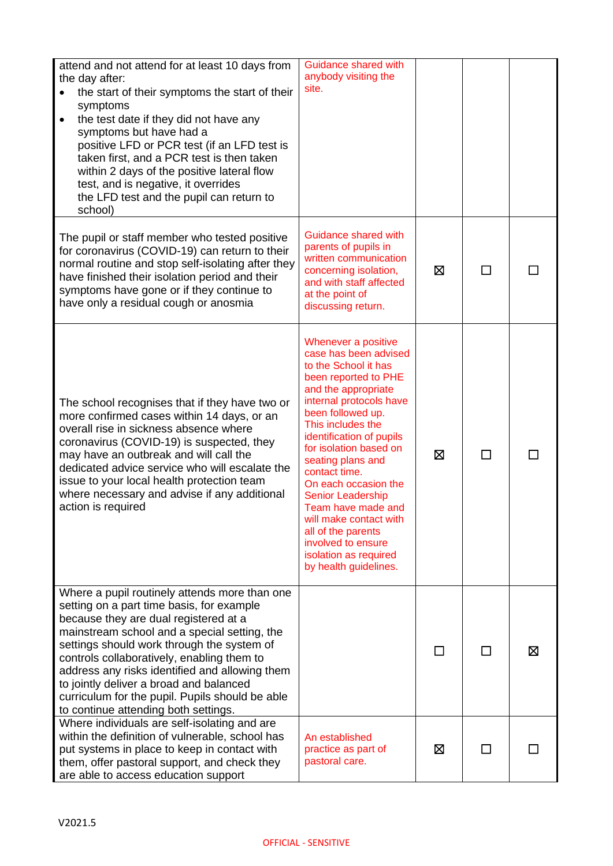| attend and not attend for at least 10 days from<br>the day after:<br>the start of their symptoms the start of their<br>symptoms<br>the test date if they did not have any<br>$\bullet$<br>symptoms but have had a<br>positive LFD or PCR test (if an LFD test is<br>taken first, and a PCR test is then taken<br>within 2 days of the positive lateral flow<br>test, and is negative, it overrides<br>the LFD test and the pupil can return to<br>school)               | Guidance shared with<br>anybody visiting the<br>site.                                                                                                                                                                                                                                                                                                                                                                                                                                  |   |        |   |
|-------------------------------------------------------------------------------------------------------------------------------------------------------------------------------------------------------------------------------------------------------------------------------------------------------------------------------------------------------------------------------------------------------------------------------------------------------------------------|----------------------------------------------------------------------------------------------------------------------------------------------------------------------------------------------------------------------------------------------------------------------------------------------------------------------------------------------------------------------------------------------------------------------------------------------------------------------------------------|---|--------|---|
| The pupil or staff member who tested positive<br>for coronavirus (COVID-19) can return to their<br>normal routine and stop self-isolating after they<br>have finished their isolation period and their<br>symptoms have gone or if they continue to<br>have only a residual cough or anosmia                                                                                                                                                                            | Guidance shared with<br>parents of pupils in<br>written communication<br>concerning isolation,<br>and with staff affected<br>at the point of<br>discussing return.                                                                                                                                                                                                                                                                                                                     | ⊠ |        |   |
| The school recognises that if they have two or<br>more confirmed cases within 14 days, or an<br>overall rise in sickness absence where<br>coronavirus (COVID-19) is suspected, they<br>may have an outbreak and will call the<br>dedicated advice service who will escalate the<br>issue to your local health protection team<br>where necessary and advise if any additional<br>action is required                                                                     | Whenever a positive<br>case has been advised<br>to the School it has<br>been reported to PHE<br>and the appropriate<br>internal protocols have<br>been followed up.<br>This includes the<br>identification of pupils<br>for isolation based on<br>seating plans and<br>contact time.<br>On each occasion the<br><b>Senior Leadership</b><br>Team have made and<br>will make contact with<br>all of the parents<br>involved to ensure<br>isolation as required<br>by health guidelines. | ⊠ | $\Box$ |   |
| Where a pupil routinely attends more than one<br>setting on a part time basis, for example<br>because they are dual registered at a<br>mainstream school and a special setting, the<br>settings should work through the system of<br>controls collaboratively, enabling them to<br>address any risks identified and allowing them<br>to jointly deliver a broad and balanced<br>curriculum for the pupil. Pupils should be able<br>to continue attending both settings. |                                                                                                                                                                                                                                                                                                                                                                                                                                                                                        |   |        | ⊠ |
| Where individuals are self-isolating and are<br>within the definition of vulnerable, school has<br>put systems in place to keep in contact with<br>them, offer pastoral support, and check they<br>are able to access education support                                                                                                                                                                                                                                 | An established<br>practice as part of<br>pastoral care.                                                                                                                                                                                                                                                                                                                                                                                                                                | ⊠ | ΙI     |   |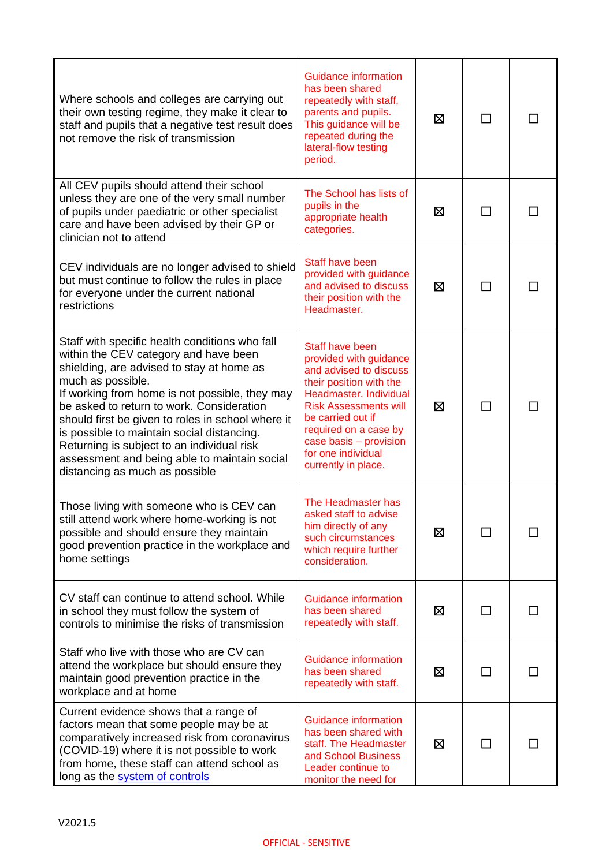| Where schools and colleges are carrying out<br>their own testing regime, they make it clear to<br>staff and pupils that a negative test result does<br>not remove the risk of transmission                                                                                                                                                                                                                                                                                                  | <b>Guidance information</b><br>has been shared<br>repeatedly with staff,<br>parents and pupils.<br>This guidance will be<br>repeated during the<br>lateral-flow testing<br>period.                                                                                            | ⊠ |              |  |
|---------------------------------------------------------------------------------------------------------------------------------------------------------------------------------------------------------------------------------------------------------------------------------------------------------------------------------------------------------------------------------------------------------------------------------------------------------------------------------------------|-------------------------------------------------------------------------------------------------------------------------------------------------------------------------------------------------------------------------------------------------------------------------------|---|--------------|--|
| All CEV pupils should attend their school<br>unless they are one of the very small number<br>of pupils under paediatric or other specialist<br>care and have been advised by their GP or<br>clinician not to attend                                                                                                                                                                                                                                                                         | The School has lists of<br>pupils in the<br>appropriate health<br>categories.                                                                                                                                                                                                 | ⊠ | $\mathbf{L}$ |  |
| CEV individuals are no longer advised to shield<br>but must continue to follow the rules in place<br>for everyone under the current national<br>restrictions                                                                                                                                                                                                                                                                                                                                | Staff have been<br>provided with guidance<br>and advised to discuss<br>their position with the<br>Headmaster.                                                                                                                                                                 | 区 | ΙI           |  |
| Staff with specific health conditions who fall<br>within the CEV category and have been<br>shielding, are advised to stay at home as<br>much as possible.<br>If working from home is not possible, they may<br>be asked to return to work. Consideration<br>should first be given to roles in school where it<br>is possible to maintain social distancing.<br>Returning is subject to an individual risk<br>assessment and being able to maintain social<br>distancing as much as possible | Staff have been<br>provided with guidance<br>and advised to discuss<br>their position with the<br>Headmaster. Individual<br><b>Risk Assessments will</b><br>be carried out if<br>required on a case by<br>case basis - provision<br>for one individual<br>currently in place. | ⊠ | П            |  |
| Those living with someone who is CEV can<br>still attend work where home-working is not<br>possible and should ensure they maintain<br>good prevention practice in the workplace and<br>home settings                                                                                                                                                                                                                                                                                       | The Headmaster has<br>asked staff to advise<br>him directly of any<br>such circumstances<br>which require further<br>consideration.                                                                                                                                           | ⊠ |              |  |
| CV staff can continue to attend school. While<br>in school they must follow the system of<br>controls to minimise the risks of transmission                                                                                                                                                                                                                                                                                                                                                 | Guidance information<br>has been shared<br>repeatedly with staff.                                                                                                                                                                                                             | ⊠ | П            |  |
| Staff who live with those who are CV can<br>attend the workplace but should ensure they<br>maintain good prevention practice in the<br>workplace and at home                                                                                                                                                                                                                                                                                                                                | Guidance information<br>has been shared<br>repeatedly with staff.                                                                                                                                                                                                             | ⊠ | □            |  |
| Current evidence shows that a range of<br>factors mean that some people may be at<br>comparatively increased risk from coronavirus<br>(COVID-19) where it is not possible to work<br>from home, these staff can attend school as<br>long as the system of controls                                                                                                                                                                                                                          | Guidance information<br>has been shared with<br>staff. The Headmaster<br>and School Business<br>Leader continue to<br>monitor the need for                                                                                                                                    | ⊠ | □            |  |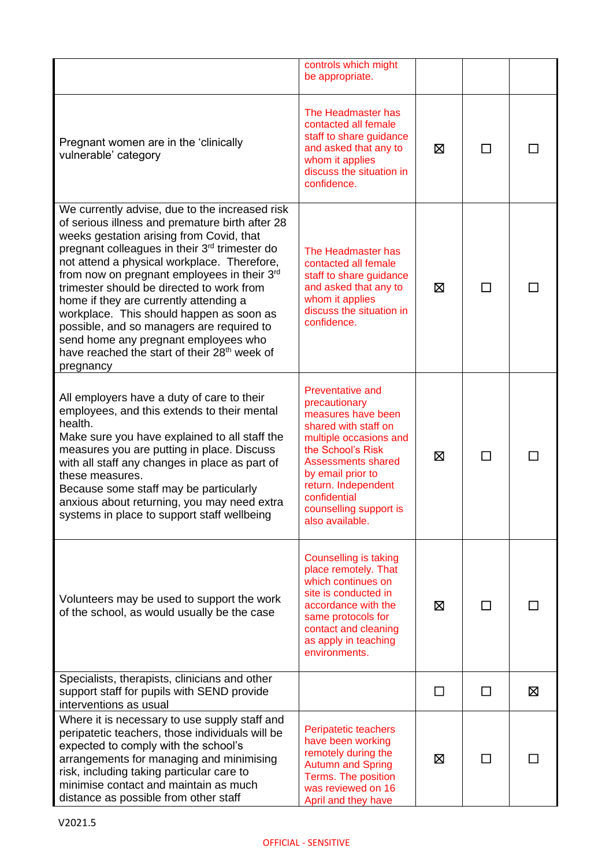|                                                                                                                                                                                                                                                                                                                                                                                                                                                                                                                                                                                                                       | controls which might<br>be appropriate.                                                                                                                                                                                                                                     |   |              |   |
|-----------------------------------------------------------------------------------------------------------------------------------------------------------------------------------------------------------------------------------------------------------------------------------------------------------------------------------------------------------------------------------------------------------------------------------------------------------------------------------------------------------------------------------------------------------------------------------------------------------------------|-----------------------------------------------------------------------------------------------------------------------------------------------------------------------------------------------------------------------------------------------------------------------------|---|--------------|---|
| Pregnant women are in the 'clinically<br>vulnerable' category                                                                                                                                                                                                                                                                                                                                                                                                                                                                                                                                                         | The Headmaster has<br>contacted all female<br>staff to share guidance<br>and asked that any to<br>whom it applies<br>discuss the situation in<br>confidence.                                                                                                                | ⊠ | $\mathbf{I}$ |   |
| We currently advise, due to the increased risk<br>of serious illness and premature birth after 28<br>weeks gestation arising from Covid, that<br>pregnant colleagues in their 3 <sup>rd</sup> trimester do<br>not attend a physical workplace. Therefore,<br>from now on pregnant employees in their 3 <sup>rd</sup><br>trimester should be directed to work from<br>home if they are currently attending a<br>workplace. This should happen as soon as<br>possible, and so managers are required to<br>send home any pregnant employees who<br>have reached the start of their 28 <sup>th</sup> week of<br>pregnancy | The Headmaster has<br>contacted all female<br>staff to share guidance<br>and asked that any to<br>whom it applies<br>discuss the situation in<br>confidence.                                                                                                                | ⊠ | П            |   |
| All employers have a duty of care to their<br>employees, and this extends to their mental<br>health.<br>Make sure you have explained to all staff the<br>measures you are putting in place. Discuss<br>with all staff any changes in place as part of<br>these measures.<br>Because some staff may be particularly<br>anxious about returning, you may need extra<br>systems in place to support staff wellbeing                                                                                                                                                                                                      | <b>Preventative and</b><br>precautionary<br>measures have been<br>shared with staff on<br>multiple occasions and<br>the School's Risk<br><b>Assessments shared</b><br>by email prior to<br>return. Independent<br>confidential<br>counselling support is<br>also available. | ⊠ | $\mathbf{I}$ |   |
| Volunteers may be used to support the work<br>of the school, as would usually be the case                                                                                                                                                                                                                                                                                                                                                                                                                                                                                                                             | <b>Counselling is taking</b><br>place remotely. That<br>which continues on<br>site is conducted in<br>accordance with the<br>same protocols for<br>contact and cleaning<br>as apply in teaching<br>environments.                                                            | 区 |              |   |
| Specialists, therapists, clinicians and other<br>support staff for pupils with SEND provide<br>interventions as usual                                                                                                                                                                                                                                                                                                                                                                                                                                                                                                 |                                                                                                                                                                                                                                                                             |   | $\mathbf{I}$ | ⊠ |
| Where it is necessary to use supply staff and<br>peripatetic teachers, those individuals will be<br>expected to comply with the school's<br>arrangements for managing and minimising<br>risk, including taking particular care to<br>minimise contact and maintain as much<br>distance as possible from other staff                                                                                                                                                                                                                                                                                                   | Peripatetic teachers<br>have been working<br>remotely during the<br><b>Autumn and Spring</b><br>Terms. The position<br>was reviewed on 16<br>April and they have                                                                                                            | ⊠ |              |   |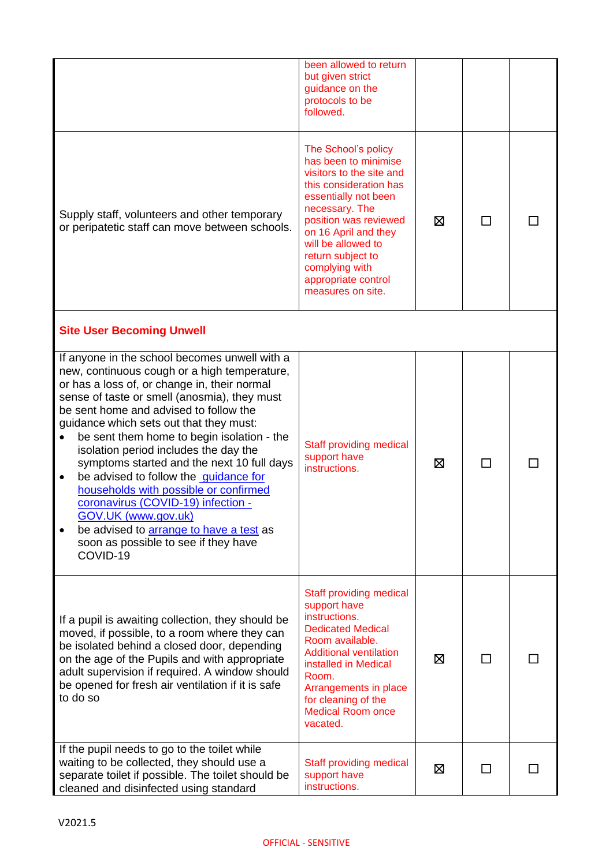|                                                                                                                                                                                                                                                                                                                                                                                                                                                                                                                                                                                                                                                                                                                      | been allowed to return<br>but given strict<br>guidance on the<br>protocols to be<br>followed.                                                                                                                                                                                                         |   |    |  |
|----------------------------------------------------------------------------------------------------------------------------------------------------------------------------------------------------------------------------------------------------------------------------------------------------------------------------------------------------------------------------------------------------------------------------------------------------------------------------------------------------------------------------------------------------------------------------------------------------------------------------------------------------------------------------------------------------------------------|-------------------------------------------------------------------------------------------------------------------------------------------------------------------------------------------------------------------------------------------------------------------------------------------------------|---|----|--|
| Supply staff, volunteers and other temporary<br>or peripatetic staff can move between schools.                                                                                                                                                                                                                                                                                                                                                                                                                                                                                                                                                                                                                       | The School's policy<br>has been to minimise<br>visitors to the site and<br>this consideration has<br>essentially not been<br>necessary. The<br>position was reviewed<br>on 16 April and they<br>will be allowed to<br>return subject to<br>complying with<br>appropriate control<br>measures on site. | X | П  |  |
| <b>Site User Becoming Unwell</b>                                                                                                                                                                                                                                                                                                                                                                                                                                                                                                                                                                                                                                                                                     |                                                                                                                                                                                                                                                                                                       |   |    |  |
| If anyone in the school becomes unwell with a<br>new, continuous cough or a high temperature,<br>or has a loss of, or change in, their normal<br>sense of taste or smell (anosmia), they must<br>be sent home and advised to follow the<br>guidance which sets out that they must:<br>be sent them home to begin isolation - the<br>$\bullet$<br>isolation period includes the day the<br>symptoms started and the next 10 full days<br>be advised to follow the <u>quidance for</u><br>$\bullet$<br>households with possible or confirmed<br>coronavirus (COVID-19) infection -<br><b>GOV.UK (www.gov.uk)</b><br>be advised to <b>arrange to have a test</b> as<br>soon as possible to see if they have<br>COVID-19 | Staff providing medical<br>support have<br>instructions.                                                                                                                                                                                                                                              | ⊠ | ΙI |  |
| If a pupil is awaiting collection, they should be<br>moved, if possible, to a room where they can<br>be isolated behind a closed door, depending<br>on the age of the Pupils and with appropriate<br>adult supervision if required. A window should<br>be opened for fresh air ventilation if it is safe<br>to do so                                                                                                                                                                                                                                                                                                                                                                                                 | Staff providing medical<br>support have<br>instructions.<br><b>Dedicated Medical</b><br>Room available.<br><b>Additional ventilation</b><br>installed in Medical<br>Room.<br>Arrangements in place<br>for cleaning of the<br><b>Medical Room once</b><br>vacated.                                     | ⊠ | П  |  |
| If the pupil needs to go to the toilet while<br>waiting to be collected, they should use a<br>separate toilet if possible. The toilet should be<br>cleaned and disinfected using standard                                                                                                                                                                                                                                                                                                                                                                                                                                                                                                                            | Staff providing medical<br>support have<br>instructions.                                                                                                                                                                                                                                              | 区 | ΙI |  |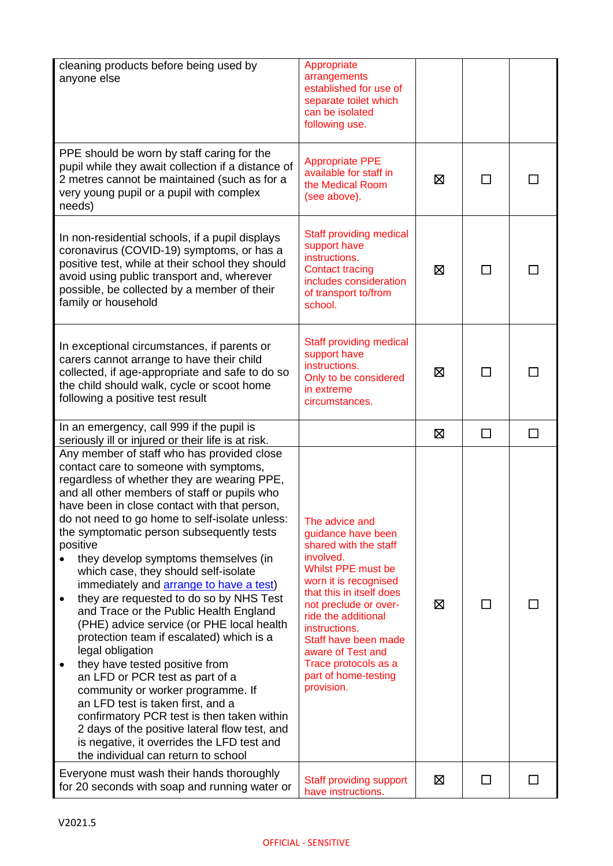| cleaning products before being used by<br>anyone else                                                                                                                                                                                                                                                                                                                                                                                                                                                                                                                                                                                                                                                                                                                                                                                                                                                                                                                                                                                    | Appropriate<br>arrangements<br>established for use of<br>separate toilet which<br>can be isolated<br>following use.                                                                                                                                                                                                               |             |        |        |
|------------------------------------------------------------------------------------------------------------------------------------------------------------------------------------------------------------------------------------------------------------------------------------------------------------------------------------------------------------------------------------------------------------------------------------------------------------------------------------------------------------------------------------------------------------------------------------------------------------------------------------------------------------------------------------------------------------------------------------------------------------------------------------------------------------------------------------------------------------------------------------------------------------------------------------------------------------------------------------------------------------------------------------------|-----------------------------------------------------------------------------------------------------------------------------------------------------------------------------------------------------------------------------------------------------------------------------------------------------------------------------------|-------------|--------|--------|
| PPE should be worn by staff caring for the<br>pupil while they await collection if a distance of<br>2 metres cannot be maintained (such as for a<br>very young pupil or a pupil with complex<br>needs)                                                                                                                                                                                                                                                                                                                                                                                                                                                                                                                                                                                                                                                                                                                                                                                                                                   | <b>Appropriate PPE</b><br>available for staff in<br>the Medical Room<br>(see above).                                                                                                                                                                                                                                              | Ø           |        |        |
| In non-residential schools, if a pupil displays<br>coronavirus (COVID-19) symptoms, or has a<br>positive test, while at their school they should<br>avoid using public transport and, wherever<br>possible, be collected by a member of their<br>family or household                                                                                                                                                                                                                                                                                                                                                                                                                                                                                                                                                                                                                                                                                                                                                                     | Staff providing medical<br>support have<br>instructions.<br><b>Contact tracing</b><br>includes consideration<br>of transport to/from<br>school.                                                                                                                                                                                   | $\boxtimes$ | ΙI     |        |
| In exceptional circumstances, if parents or<br>carers cannot arrange to have their child<br>collected, if age-appropriate and safe to do so<br>the child should walk, cycle or scoot home<br>following a positive test result                                                                                                                                                                                                                                                                                                                                                                                                                                                                                                                                                                                                                                                                                                                                                                                                            | Staff providing medical<br>support have<br>instructions.<br>Only to be considered<br>in extreme<br>circumstances.                                                                                                                                                                                                                 | 区           | П      |        |
| In an emergency, call 999 if the pupil is<br>seriously ill or injured or their life is at risk.                                                                                                                                                                                                                                                                                                                                                                                                                                                                                                                                                                                                                                                                                                                                                                                                                                                                                                                                          |                                                                                                                                                                                                                                                                                                                                   | ⊠           | $\Box$ | $\Box$ |
| Any member of staff who has provided close<br>contact care to someone with symptoms,<br>regardless of whether they are wearing PPE,<br>and all other members of staff or pupils who<br>have been in close contact with that person,<br>do not need to go home to self-isolate unless:<br>the symptomatic person subsequently tests<br>positive<br>they develop symptoms themselves (in<br>which case, they should self-isolate<br>immediately and <b>arrange to have a test</b> )<br>they are requested to do so by NHS Test<br>$\bullet$<br>and Trace or the Public Health England<br>(PHE) advice service (or PHE local health<br>protection team if escalated) which is a<br>legal obligation<br>they have tested positive from<br>٠<br>an LFD or PCR test as part of a<br>community or worker programme. If<br>an LFD test is taken first, and a<br>confirmatory PCR test is then taken within<br>2 days of the positive lateral flow test, and<br>is negative, it overrides the LFD test and<br>the individual can return to school | The advice and<br>guidance have been<br>shared with the staff<br>involved.<br>Whilst PPE must be<br>worn it is recognised<br>that this in itself does<br>not preclude or over-<br>ride the additional<br>instructions.<br>Staff have been made<br>aware of Test and<br>Trace protocols as a<br>part of home-testing<br>provision. | ⊠           |        |        |
| Everyone must wash their hands thoroughly<br>for 20 seconds with soap and running water or                                                                                                                                                                                                                                                                                                                                                                                                                                                                                                                                                                                                                                                                                                                                                                                                                                                                                                                                               | Staff providing support<br>have instructions.                                                                                                                                                                                                                                                                                     | ⊠           | ΙI     |        |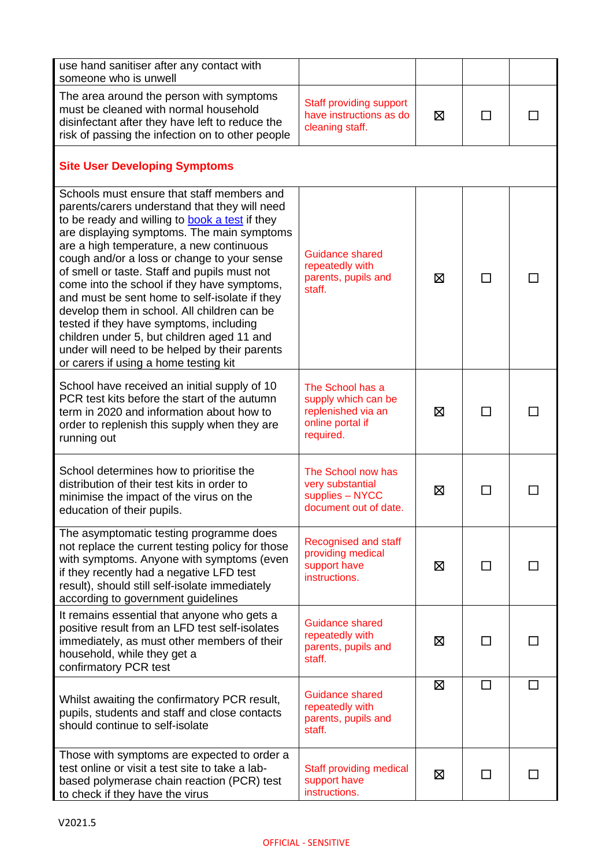| use hand sanitiser after any contact with<br>someone who is unwell                                                                                                                                                                                                                                                                                                                                                                                                                                                                                                                                                                                                              |                                                                                                |   |                |  |
|---------------------------------------------------------------------------------------------------------------------------------------------------------------------------------------------------------------------------------------------------------------------------------------------------------------------------------------------------------------------------------------------------------------------------------------------------------------------------------------------------------------------------------------------------------------------------------------------------------------------------------------------------------------------------------|------------------------------------------------------------------------------------------------|---|----------------|--|
| The area around the person with symptoms<br>must be cleaned with normal household<br>disinfectant after they have left to reduce the<br>risk of passing the infection on to other people                                                                                                                                                                                                                                                                                                                                                                                                                                                                                        | Staff providing support<br>have instructions as do<br>cleaning staff.                          | ⊠ | П              |  |
| <b>Site User Developing Symptoms</b>                                                                                                                                                                                                                                                                                                                                                                                                                                                                                                                                                                                                                                            |                                                                                                |   |                |  |
| Schools must ensure that staff members and<br>parents/carers understand that they will need<br>to be ready and willing to <b>book a test</b> if they<br>are displaying symptoms. The main symptoms<br>are a high temperature, a new continuous<br>cough and/or a loss or change to your sense<br>of smell or taste. Staff and pupils must not<br>come into the school if they have symptoms,<br>and must be sent home to self-isolate if they<br>develop them in school. All children can be<br>tested if they have symptoms, including<br>children under 5, but children aged 11 and<br>under will need to be helped by their parents<br>or carers if using a home testing kit | Guidance shared<br>repeatedly with<br>parents, pupils and<br>staff.                            | X | П              |  |
| School have received an initial supply of 10<br>PCR test kits before the start of the autumn<br>term in 2020 and information about how to<br>order to replenish this supply when they are<br>running out                                                                                                                                                                                                                                                                                                                                                                                                                                                                        | The School has a<br>supply which can be<br>replenished via an<br>online portal if<br>required. | ⊠ | $\mathcal{L}$  |  |
| School determines how to prioritise the<br>distribution of their test kits in order to<br>minimise the impact of the virus on the<br>education of their pupils.                                                                                                                                                                                                                                                                                                                                                                                                                                                                                                                 | The School now has<br>very substantial<br>supplies - NYCC<br>document out of date.             | ⊠ |                |  |
| The asymptomatic testing programme does<br>not replace the current testing policy for those<br>with symptoms. Anyone with symptoms (even<br>if they recently had a negative LFD test<br>result), should still self-isolate immediately<br>according to government guidelines                                                                                                                                                                                                                                                                                                                                                                                                    | <b>Recognised and staff</b><br>providing medical<br>support have<br>instructions.              | ⊠ | $\mathsf{L}$   |  |
| It remains essential that anyone who gets a<br>positive result from an LFD test self-isolates<br>immediately, as must other members of their<br>household, while they get a<br>confirmatory PCR test                                                                                                                                                                                                                                                                                                                                                                                                                                                                            | <b>Guidance shared</b><br>repeatedly with<br>parents, pupils and<br>staff.                     | ⊠ |                |  |
| Whilst awaiting the confirmatory PCR result,<br>pupils, students and staff and close contacts<br>should continue to self-isolate                                                                                                                                                                                                                                                                                                                                                                                                                                                                                                                                                | Guidance shared<br>repeatedly with<br>parents, pupils and<br>staff.                            | ⊠ | П              |  |
| Those with symptoms are expected to order a<br>test online or visit a test site to take a lab-<br>based polymerase chain reaction (PCR) test<br>to check if they have the virus                                                                                                                                                                                                                                                                                                                                                                                                                                                                                                 | <b>Staff providing medical</b><br>support have<br>instructions.                                | ⊠ | $\blacksquare$ |  |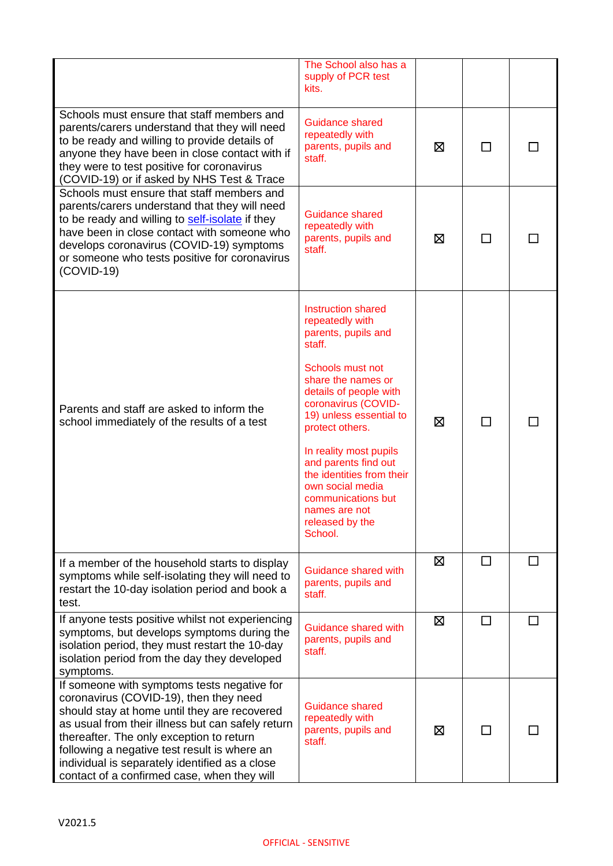|                                                                                                                                                                                                                                                                                                                                                                                         | The School also has a<br>supply of PCR test<br>kits.                                                                                                                                                                                                                                                                                                                                    |   |        |  |
|-----------------------------------------------------------------------------------------------------------------------------------------------------------------------------------------------------------------------------------------------------------------------------------------------------------------------------------------------------------------------------------------|-----------------------------------------------------------------------------------------------------------------------------------------------------------------------------------------------------------------------------------------------------------------------------------------------------------------------------------------------------------------------------------------|---|--------|--|
| Schools must ensure that staff members and<br>parents/carers understand that they will need<br>to be ready and willing to provide details of<br>anyone they have been in close contact with if<br>they were to test positive for coronavirus<br>(COVID-19) or if asked by NHS Test & Trace                                                                                              | Guidance shared<br>repeatedly with<br>parents, pupils and<br>staff.                                                                                                                                                                                                                                                                                                                     | ⊠ | $\sim$ |  |
| Schools must ensure that staff members and<br>parents/carers understand that they will need<br>to be ready and willing to self-isolate if they<br>have been in close contact with someone who<br>develops coronavirus (COVID-19) symptoms<br>or someone who tests positive for coronavirus<br>$(COVID-19)$                                                                              | <b>Guidance shared</b><br>repeatedly with<br>parents, pupils and<br>staff.                                                                                                                                                                                                                                                                                                              | ⊠ |        |  |
| Parents and staff are asked to inform the<br>school immediately of the results of a test                                                                                                                                                                                                                                                                                                | Instruction shared<br>repeatedly with<br>parents, pupils and<br>staff.<br>Schools must not<br>share the names or<br>details of people with<br>coronavirus (COVID-<br>19) unless essential to<br>protect others.<br>In reality most pupils<br>and parents find out<br>the identities from their<br>own social media<br>communications but<br>names are not<br>released by the<br>School. | ⊠ | П      |  |
| If a member of the household starts to display<br>symptoms while self-isolating they will need to<br>restart the 10-day isolation period and book a<br>test.                                                                                                                                                                                                                            | Guidance shared with<br>parents, pupils and<br>staff.                                                                                                                                                                                                                                                                                                                                   | ⊠ |        |  |
| If anyone tests positive whilst not experiencing<br>symptoms, but develops symptoms during the<br>isolation period, they must restart the 10-day<br>isolation period from the day they developed<br>symptoms.                                                                                                                                                                           | Guidance shared with<br>parents, pupils and<br>staff.                                                                                                                                                                                                                                                                                                                                   | ⊠ | П      |  |
| If someone with symptoms tests negative for<br>coronavirus (COVID-19), then they need<br>should stay at home until they are recovered<br>as usual from their illness but can safely return<br>thereafter. The only exception to return<br>following a negative test result is where an<br>individual is separately identified as a close<br>contact of a confirmed case, when they will | Guidance shared<br>repeatedly with<br>parents, pupils and<br>staff.                                                                                                                                                                                                                                                                                                                     | ⊠ |        |  |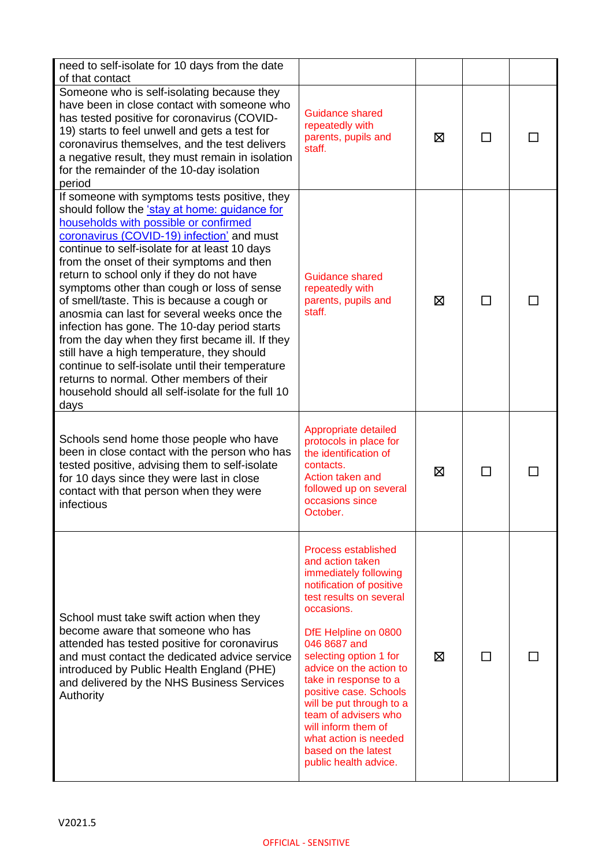| need to self-isolate for 10 days from the date                                                                                                                                                                                                                                                                                                                                                                                                                                                                                                                                                                                                                                                                                                                                              |                                                                                                                                                                                                                                                                                                                                                                                                                                                  |   |    |  |
|---------------------------------------------------------------------------------------------------------------------------------------------------------------------------------------------------------------------------------------------------------------------------------------------------------------------------------------------------------------------------------------------------------------------------------------------------------------------------------------------------------------------------------------------------------------------------------------------------------------------------------------------------------------------------------------------------------------------------------------------------------------------------------------------|--------------------------------------------------------------------------------------------------------------------------------------------------------------------------------------------------------------------------------------------------------------------------------------------------------------------------------------------------------------------------------------------------------------------------------------------------|---|----|--|
| of that contact                                                                                                                                                                                                                                                                                                                                                                                                                                                                                                                                                                                                                                                                                                                                                                             |                                                                                                                                                                                                                                                                                                                                                                                                                                                  |   |    |  |
| Someone who is self-isolating because they<br>have been in close contact with someone who<br>has tested positive for coronavirus (COVID-<br>19) starts to feel unwell and gets a test for<br>coronavirus themselves, and the test delivers<br>a negative result, they must remain in isolation<br>for the remainder of the 10-day isolation<br>period                                                                                                                                                                                                                                                                                                                                                                                                                                       | Guidance shared<br>repeatedly with<br>parents, pupils and<br>staff.                                                                                                                                                                                                                                                                                                                                                                              | ⊠ | ΙI |  |
| If someone with symptoms tests positive, they<br>should follow the 'stay at home: guidance for<br>households with possible or confirmed<br>coronavirus (COVID-19) infection' and must<br>continue to self-isolate for at least 10 days<br>from the onset of their symptoms and then<br>return to school only if they do not have<br>symptoms other than cough or loss of sense<br>of smell/taste. This is because a cough or<br>anosmia can last for several weeks once the<br>infection has gone. The 10-day period starts<br>from the day when they first became ill. If they<br>still have a high temperature, they should<br>continue to self-isolate until their temperature<br>returns to normal. Other members of their<br>household should all self-isolate for the full 10<br>days | <b>Guidance shared</b><br>repeatedly with<br>parents, pupils and<br>staff.                                                                                                                                                                                                                                                                                                                                                                       | ⊠ | ΙI |  |
| Schools send home those people who have<br>been in close contact with the person who has<br>tested positive, advising them to self-isolate<br>for 10 days since they were last in close<br>contact with that person when they were<br>infectious                                                                                                                                                                                                                                                                                                                                                                                                                                                                                                                                            | Appropriate detailed<br>protocols in place for<br>the identification of<br>contacts.<br>Action taken and<br>followed up on several<br>occasions since<br>October.                                                                                                                                                                                                                                                                                | ⊠ |    |  |
| School must take swift action when they<br>become aware that someone who has<br>attended has tested positive for coronavirus<br>and must contact the dedicated advice service<br>introduced by Public Health England (PHE)<br>and delivered by the NHS Business Services<br>Authority                                                                                                                                                                                                                                                                                                                                                                                                                                                                                                       | <b>Process established</b><br>and action taken<br>immediately following<br>notification of positive<br>test results on several<br>occasions.<br>DfE Helpline on 0800<br>046 8687 and<br>selecting option 1 for<br>advice on the action to<br>take in response to a<br>positive case. Schools<br>will be put through to a<br>team of advisers who<br>will inform them of<br>what action is needed<br>based on the latest<br>public health advice. | ⊠ |    |  |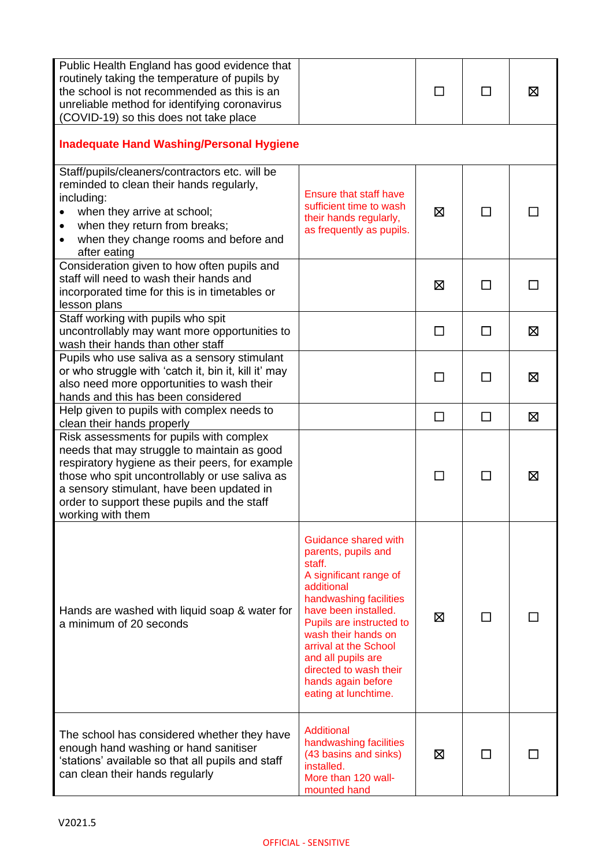| Public Health England has good evidence that<br>routinely taking the temperature of pupils by<br>the school is not recommended as this is an<br>unreliable method for identifying coronavirus<br>(COVID-19) so this does not take place                                                                       |                                                                                                                                                                                                                                                                                                                           | □      | П      | ⊠           |
|---------------------------------------------------------------------------------------------------------------------------------------------------------------------------------------------------------------------------------------------------------------------------------------------------------------|---------------------------------------------------------------------------------------------------------------------------------------------------------------------------------------------------------------------------------------------------------------------------------------------------------------------------|--------|--------|-------------|
| <b>Inadequate Hand Washing/Personal Hygiene</b>                                                                                                                                                                                                                                                               |                                                                                                                                                                                                                                                                                                                           |        |        |             |
| Staff/pupils/cleaners/contractors etc. will be<br>reminded to clean their hands regularly,<br>including:<br>when they arrive at school;<br>when they return from breaks;<br>$\bullet$<br>when they change rooms and before and<br>$\bullet$<br>after eating                                                   | <b>Ensure that staff have</b><br>sufficient time to wash<br>their hands regularly,<br>as frequently as pupils.                                                                                                                                                                                                            | ⊠      | ΙI     |             |
| Consideration given to how often pupils and<br>staff will need to wash their hands and<br>incorporated time for this is in timetables or<br>lesson plans                                                                                                                                                      |                                                                                                                                                                                                                                                                                                                           | ⊠      |        |             |
| Staff working with pupils who spit<br>uncontrollably may want more opportunities to<br>wash their hands than other staff                                                                                                                                                                                      |                                                                                                                                                                                                                                                                                                                           | П      | ΙI     | ⊠           |
| Pupils who use saliva as a sensory stimulant<br>or who struggle with 'catch it, bin it, kill it' may<br>also need more opportunities to wash their<br>hands and this has been considered                                                                                                                      |                                                                                                                                                                                                                                                                                                                           |        |        | Σ           |
| Help given to pupils with complex needs to<br>clean their hands properly                                                                                                                                                                                                                                      |                                                                                                                                                                                                                                                                                                                           | $\Box$ | $\Box$ | 区           |
| Risk assessments for pupils with complex<br>needs that may struggle to maintain as good<br>respiratory hygiene as their peers, for example<br>those who spit uncontrollably or use saliva as<br>a sensory stimulant, have been updated in<br>order to support these pupils and the staff<br>working with them |                                                                                                                                                                                                                                                                                                                           |        |        | $\boxtimes$ |
| Hands are washed with liquid soap & water for<br>a minimum of 20 seconds                                                                                                                                                                                                                                      | Guidance shared with<br>parents, pupils and<br>staff.<br>A significant range of<br>additional<br>handwashing facilities<br>have been installed.<br>Pupils are instructed to<br>wash their hands on<br>arrival at the School<br>and all pupils are<br>directed to wash their<br>hands again before<br>eating at lunchtime. | ⊠      |        |             |
| The school has considered whether they have<br>enough hand washing or hand sanitiser<br>'stations' available so that all pupils and staff<br>can clean their hands regularly                                                                                                                                  | Additional<br>handwashing facilities<br>(43 basins and sinks)<br>installed.<br>More than 120 wall-<br>mounted hand                                                                                                                                                                                                        | ⊠      |        |             |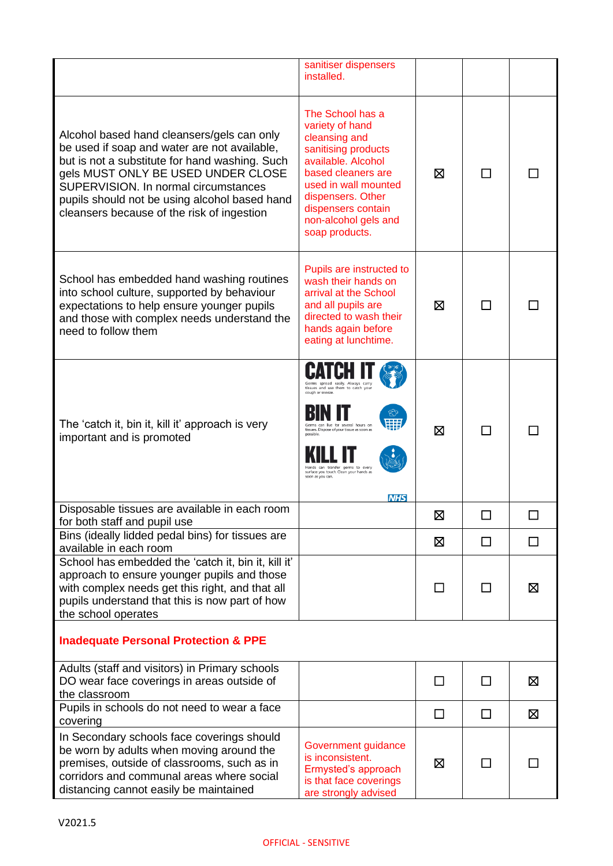|                                                                                                                                                                                                                                                                                                                           | sanitiser dispensers<br>installed.                                                                                                                                                                                                                                                         |         |              |             |
|---------------------------------------------------------------------------------------------------------------------------------------------------------------------------------------------------------------------------------------------------------------------------------------------------------------------------|--------------------------------------------------------------------------------------------------------------------------------------------------------------------------------------------------------------------------------------------------------------------------------------------|---------|--------------|-------------|
| Alcohol based hand cleansers/gels can only<br>be used if soap and water are not available,<br>but is not a substitute for hand washing. Such<br>gels MUST ONLY BE USED UNDER CLOSE<br>SUPERVISION. In normal circumstances<br>pupils should not be using alcohol based hand<br>cleansers because of the risk of ingestion | The School has a<br>variety of hand<br>cleansing and<br>sanitising products<br>available. Alcohol<br>based cleaners are<br>used in wall mounted<br>dispensers. Other<br>dispensers contain<br>non-alcohol gels and<br>soap products.                                                       | ⊠       | $\mathsf{L}$ |             |
| School has embedded hand washing routines<br>into school culture, supported by behaviour<br>expectations to help ensure younger pupils<br>and those with complex needs understand the<br>need to follow them                                                                                                              | Pupils are instructed to<br>wash their hands on<br>arrival at the School<br>and all pupils are<br>directed to wash their<br>hands again before<br>eating at lunchtime.                                                                                                                     | ⊠       | $\mathsf{L}$ |             |
| The 'catch it, bin it, kill it' approach is very<br>important and is promoted                                                                                                                                                                                                                                             | Germs spread easily. Always carry<br>tissues and use them to catch you<br>cough or sneeze.<br>सम<br>Germs can live for several hours on<br>tissues. Dispose of your tissue as soon a<br>transfer germs to ever<br>surface you touch. Clean your hands as<br>soon as you can.<br><b>NHS</b> | ⊠       |              |             |
| Disposable tissues are available in each room<br>for both staff and pupil use                                                                                                                                                                                                                                             |                                                                                                                                                                                                                                                                                            | Ø       |              |             |
| Bins (ideally lidded pedal bins) for tissues are<br>available in each room                                                                                                                                                                                                                                                |                                                                                                                                                                                                                                                                                            | ⊠       | ΙI           | П           |
| School has embedded the 'catch it, bin it, kill it'<br>approach to ensure younger pupils and those<br>with complex needs get this right, and that all<br>pupils understand that this is now part of how<br>the school operates                                                                                            |                                                                                                                                                                                                                                                                                            | П       | ΙI           | ⊠           |
| <b>Inadequate Personal Protection &amp; PPE</b>                                                                                                                                                                                                                                                                           |                                                                                                                                                                                                                                                                                            |         |              |             |
| Adults (staff and visitors) in Primary schools<br>DO wear face coverings in areas outside of<br>the classroom                                                                                                                                                                                                             |                                                                                                                                                                                                                                                                                            | $\perp$ | П            | ⊠           |
| Pupils in schools do not need to wear a face<br>covering                                                                                                                                                                                                                                                                  |                                                                                                                                                                                                                                                                                            | $\Box$  | □            | $\boxtimes$ |
| In Secondary schools face coverings should<br>be worn by adults when moving around the<br>premises, outside of classrooms, such as in<br>corridors and communal areas where social<br>distancing cannot easily be maintained                                                                                              | Government guidance<br>is inconsistent.<br>Ermysted's approach<br>is that face coverings<br>are strongly advised                                                                                                                                                                           | ⊠       | ΙI           |             |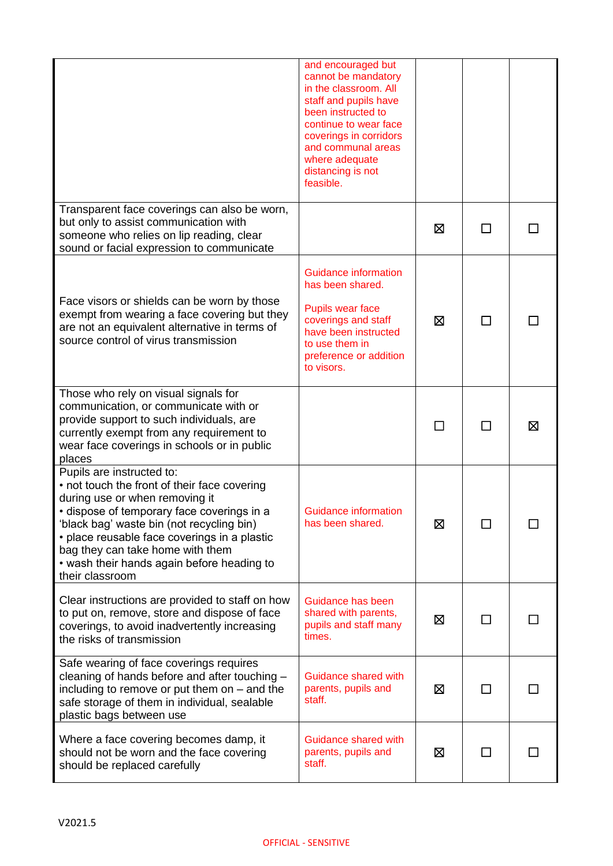|                                                                                                                                                                                                                                                                                                                                                             | and encouraged but<br>cannot be mandatory<br>in the classroom. All<br>staff and pupils have<br>been instructed to<br>continue to wear face<br>coverings in corridors<br>and communal areas<br>where adequate<br>distancing is not<br>feasible. |   |    |   |
|-------------------------------------------------------------------------------------------------------------------------------------------------------------------------------------------------------------------------------------------------------------------------------------------------------------------------------------------------------------|------------------------------------------------------------------------------------------------------------------------------------------------------------------------------------------------------------------------------------------------|---|----|---|
| Transparent face coverings can also be worn,<br>but only to assist communication with<br>someone who relies on lip reading, clear<br>sound or facial expression to communicate                                                                                                                                                                              |                                                                                                                                                                                                                                                | ⊠ |    |   |
| Face visors or shields can be worn by those<br>exempt from wearing a face covering but they<br>are not an equivalent alternative in terms of<br>source control of virus transmission                                                                                                                                                                        | <b>Guidance information</b><br>has been shared.<br>Pupils wear face<br>coverings and staff<br>have been instructed<br>to use them in<br>preference or addition<br>to visors.                                                                   | 区 | П  |   |
| Those who rely on visual signals for<br>communication, or communicate with or<br>provide support to such individuals, are<br>currently exempt from any requirement to<br>wear face coverings in schools or in public<br>places                                                                                                                              |                                                                                                                                                                                                                                                |   |    | ⊠ |
| Pupils are instructed to:<br>• not touch the front of their face covering<br>during use or when removing it<br>· dispose of temporary face coverings in a<br>'black bag' waste bin (not recycling bin)<br>• place reusable face coverings in a plastic<br>bag they can take home with them<br>• wash their hands again before heading to<br>their classroom | <b>Guidance information</b><br>has been shared.                                                                                                                                                                                                | ⊠ |    |   |
| Clear instructions are provided to staff on how<br>to put on, remove, store and dispose of face<br>coverings, to avoid inadvertently increasing<br>the risks of transmission                                                                                                                                                                                | Guidance has been<br>shared with parents,<br>pupils and staff many<br>times.                                                                                                                                                                   | ⊠ | ΙI |   |
| Safe wearing of face coverings requires<br>cleaning of hands before and after touching -<br>including to remove or put them on $-$ and the<br>safe storage of them in individual, sealable<br>plastic bags between use                                                                                                                                      | Guidance shared with<br>parents, pupils and<br>staff.                                                                                                                                                                                          | ⊠ | ΙI |   |
| Where a face covering becomes damp, it<br>should not be worn and the face covering<br>should be replaced carefully                                                                                                                                                                                                                                          | Guidance shared with<br>parents, pupils and<br>staff.                                                                                                                                                                                          | ⊠ |    |   |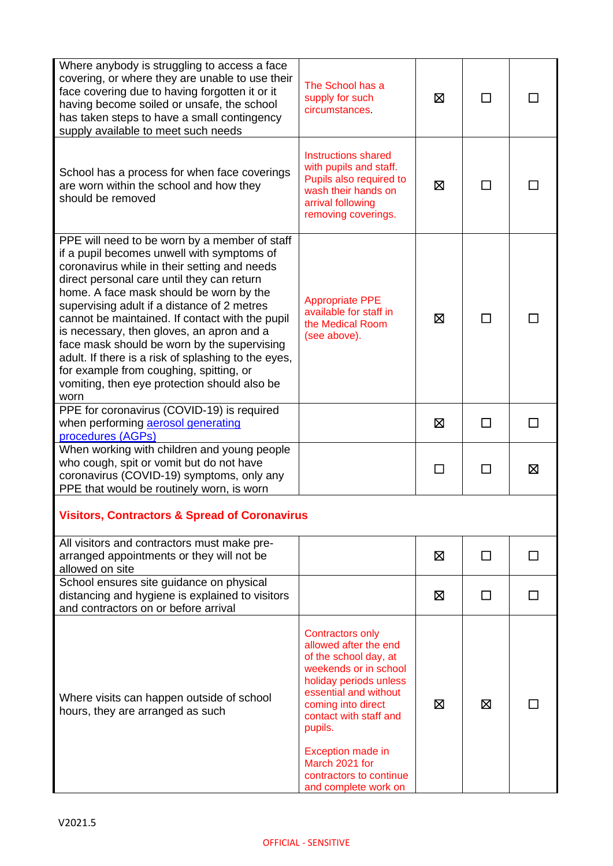| Where anybody is struggling to access a face<br>covering, or where they are unable to use their<br>face covering due to having forgotten it or it<br>having become soiled or unsafe, the school<br>has taken steps to have a small contingency<br>supply available to meet such needs                                                                                                                                                                                                                                                                                                        | The School has a<br>supply for such<br>circumstances.                                                                                                                                                                                                                                                      | ⊠ | ΙI     |        |
|----------------------------------------------------------------------------------------------------------------------------------------------------------------------------------------------------------------------------------------------------------------------------------------------------------------------------------------------------------------------------------------------------------------------------------------------------------------------------------------------------------------------------------------------------------------------------------------------|------------------------------------------------------------------------------------------------------------------------------------------------------------------------------------------------------------------------------------------------------------------------------------------------------------|---|--------|--------|
| School has a process for when face coverings<br>are worn within the school and how they<br>should be removed                                                                                                                                                                                                                                                                                                                                                                                                                                                                                 | <b>Instructions shared</b><br>with pupils and staff.<br>Pupils also required to<br>wash their hands on<br>arrival following<br>removing coverings.                                                                                                                                                         | ⊠ | ΙI     |        |
| PPE will need to be worn by a member of staff<br>if a pupil becomes unwell with symptoms of<br>coronavirus while in their setting and needs<br>direct personal care until they can return<br>home. A face mask should be worn by the<br>supervising adult if a distance of 2 metres<br>cannot be maintained. If contact with the pupil<br>is necessary, then gloves, an apron and a<br>face mask should be worn by the supervising<br>adult. If there is a risk of splashing to the eyes,<br>for example from coughing, spitting, or<br>vomiting, then eye protection should also be<br>worn | <b>Appropriate PPE</b><br>available for staff in<br>the Medical Room<br>(see above).                                                                                                                                                                                                                       | 区 | П      |        |
| PPE for coronavirus (COVID-19) is required<br>when performing aerosol generating<br>procedures (AGPs)                                                                                                                                                                                                                                                                                                                                                                                                                                                                                        |                                                                                                                                                                                                                                                                                                            | ⊠ | П      | П      |
| When working with children and young people<br>who cough, spit or vomit but do not have<br>coronavirus (COVID-19) symptoms, only any<br>PPE that would be routinely worn, is worn                                                                                                                                                                                                                                                                                                                                                                                                            |                                                                                                                                                                                                                                                                                                            | □ | П      | ⊠      |
| <b>Visitors, Contractors &amp; Spread of Coronavirus</b>                                                                                                                                                                                                                                                                                                                                                                                                                                                                                                                                     |                                                                                                                                                                                                                                                                                                            |   |        |        |
| All visitors and contractors must make pre-<br>arranged appointments or they will not be<br>allowed on site                                                                                                                                                                                                                                                                                                                                                                                                                                                                                  |                                                                                                                                                                                                                                                                                                            | ⊠ | П      | ΙI     |
| School ensures site guidance on physical<br>distancing and hygiene is explained to visitors<br>and contractors on or before arrival                                                                                                                                                                                                                                                                                                                                                                                                                                                          |                                                                                                                                                                                                                                                                                                            | ⊠ | $\Box$ | $\Box$ |
| Where visits can happen outside of school<br>hours, they are arranged as such                                                                                                                                                                                                                                                                                                                                                                                                                                                                                                                | <b>Contractors only</b><br>allowed after the end<br>of the school day, at<br>weekends or in school<br>holiday periods unless<br>essential and without<br>coming into direct<br>contact with staff and<br>pupils.<br>Exception made in<br>March 2021 for<br>contractors to continue<br>and complete work on | ⊠ | ⊠      |        |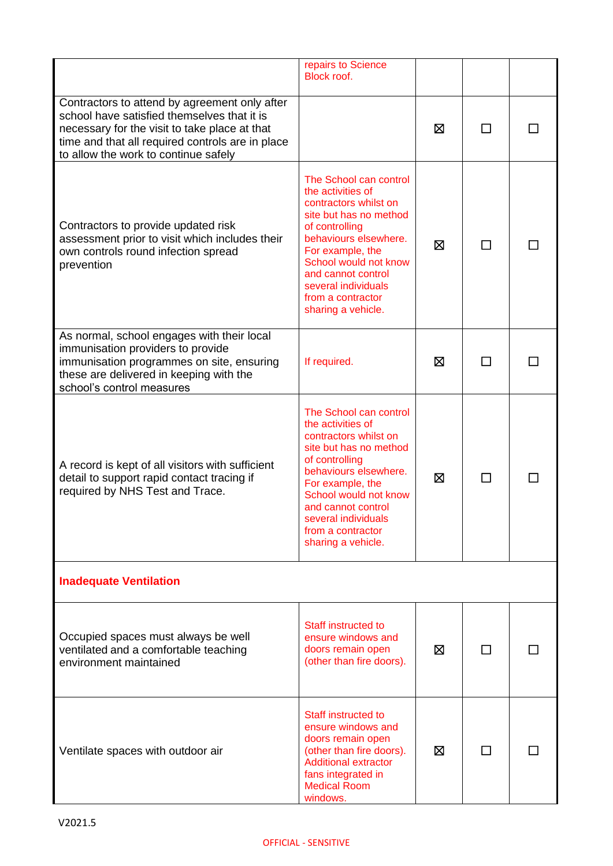|                                                                                                                                                                                                                                           | repairs to Science<br>Block roof.                                                                                                                                                                                                                                              |   |    |  |
|-------------------------------------------------------------------------------------------------------------------------------------------------------------------------------------------------------------------------------------------|--------------------------------------------------------------------------------------------------------------------------------------------------------------------------------------------------------------------------------------------------------------------------------|---|----|--|
| Contractors to attend by agreement only after<br>school have satisfied themselves that it is<br>necessary for the visit to take place at that<br>time and that all required controls are in place<br>to allow the work to continue safely |                                                                                                                                                                                                                                                                                | ⊠ |    |  |
| Contractors to provide updated risk<br>assessment prior to visit which includes their<br>own controls round infection spread<br>prevention                                                                                                | The School can control<br>the activities of<br>contractors whilst on<br>site but has no method<br>of controlling<br>behaviours elsewhere.<br>For example, the<br>School would not know<br>and cannot control<br>several individuals<br>from a contractor<br>sharing a vehicle. | ⊠ |    |  |
| As normal, school engages with their local<br>immunisation providers to provide<br>immunisation programmes on site, ensuring<br>these are delivered in keeping with the<br>school's control measures                                      | If required.                                                                                                                                                                                                                                                                   | ⊠ | ΙI |  |
| A record is kept of all visitors with sufficient<br>detail to support rapid contact tracing if<br>required by NHS Test and Trace.                                                                                                         | The School can control<br>the activities of<br>contractors whilst on<br>site but has no method<br>of controlling<br>behaviours elsewhere.<br>For example, the<br>School would not know<br>and cannot control<br>several individuals<br>from a contractor<br>sharing a vehicle. | ⊠ |    |  |
| <b>Inadequate Ventilation</b>                                                                                                                                                                                                             |                                                                                                                                                                                                                                                                                |   |    |  |
| Occupied spaces must always be well<br>ventilated and a comfortable teaching<br>environment maintained                                                                                                                                    | Staff instructed to<br>ensure windows and<br>doors remain open<br>(other than fire doors).                                                                                                                                                                                     | ⊠ | ΙI |  |
| Ventilate spaces with outdoor air                                                                                                                                                                                                         | Staff instructed to<br>ensure windows and<br>doors remain open<br>(other than fire doors).<br><b>Additional extractor</b><br>fans integrated in<br><b>Medical Room</b><br>windows.                                                                                             | ⊠ |    |  |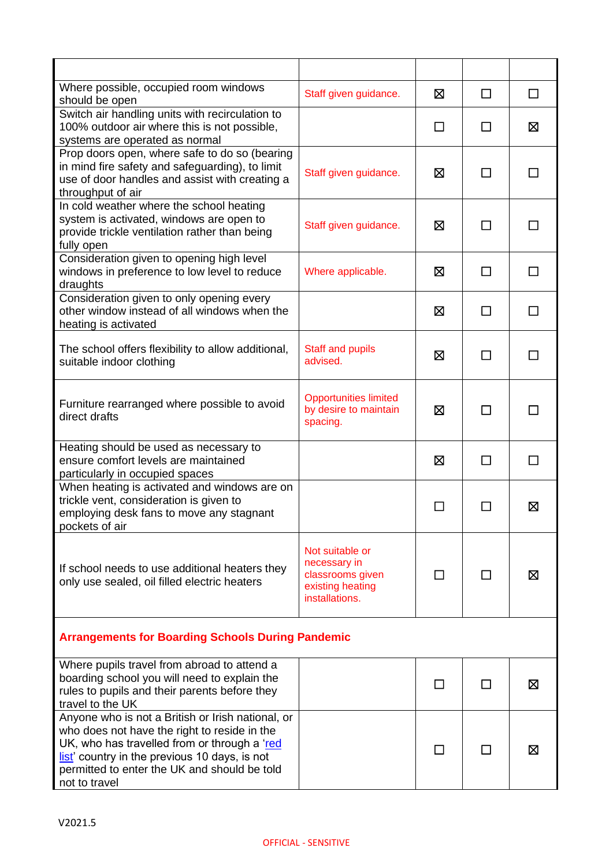| Where possible, occupied room windows<br>should be open                                                                                                                                                                                                             | Staff given guidance.                                                                     | Χ            | $\Box$         | $\Box$ |
|---------------------------------------------------------------------------------------------------------------------------------------------------------------------------------------------------------------------------------------------------------------------|-------------------------------------------------------------------------------------------|--------------|----------------|--------|
| Switch air handling units with recirculation to<br>100% outdoor air where this is not possible,<br>systems are operated as normal                                                                                                                                   |                                                                                           | □            | П              | Ø      |
| Prop doors open, where safe to do so (bearing<br>in mind fire safety and safeguarding), to limit<br>use of door handles and assist with creating a<br>throughput of air                                                                                             | Staff given guidance.                                                                     | ⊠            | $\Box$         | $\Box$ |
| In cold weather where the school heating<br>system is activated, windows are open to<br>provide trickle ventilation rather than being<br>fully open                                                                                                                 | Staff given guidance.                                                                     | ⊠            | $\mathsf{L}$   |        |
| Consideration given to opening high level<br>windows in preference to low level to reduce<br>draughts                                                                                                                                                               | Where applicable.                                                                         | ⊠            | □              | П      |
| Consideration given to only opening every<br>other window instead of all windows when the<br>heating is activated                                                                                                                                                   |                                                                                           | 区            | $\mathsf{L}$   | П      |
| The school offers flexibility to allow additional,<br>suitable indoor clothing                                                                                                                                                                                      | <b>Staff and pupils</b><br>advised.                                                       | ⊠            | ΙI             |        |
| Furniture rearranged where possible to avoid<br>direct drafts                                                                                                                                                                                                       | <b>Opportunities limited</b><br>by desire to maintain<br>spacing.                         | 区            |                |        |
| Heating should be used as necessary to<br>ensure comfort levels are maintained<br>particularly in occupied spaces                                                                                                                                                   |                                                                                           | 区            | □              | П      |
| When heating is activated and windows are on<br>trickle vent, consideration is given to<br>employing desk fans to move any stagnant<br>pockets of air                                                                                                               |                                                                                           | $\mathsf{L}$ | $\blacksquare$ | 区      |
| If school needs to use additional heaters they<br>only use sealed, oil filled electric heaters                                                                                                                                                                      | Not suitable or<br>necessary in<br>classrooms given<br>existing heating<br>installations. |              |                | ⊠      |
| <b>Arrangements for Boarding Schools During Pandemic</b>                                                                                                                                                                                                            |                                                                                           |              |                |        |
| Where pupils travel from abroad to attend a<br>boarding school you will need to explain the<br>rules to pupils and their parents before they<br>travel to the UK                                                                                                    |                                                                                           | П            | ΙI             | ⊠      |
| Anyone who is not a British or Irish national, or<br>who does not have the right to reside in the<br>UK, who has travelled from or through a 'red<br>list' country in the previous 10 days, is not<br>permitted to enter the UK and should be told<br>not to travel |                                                                                           |              |                | ⊠      |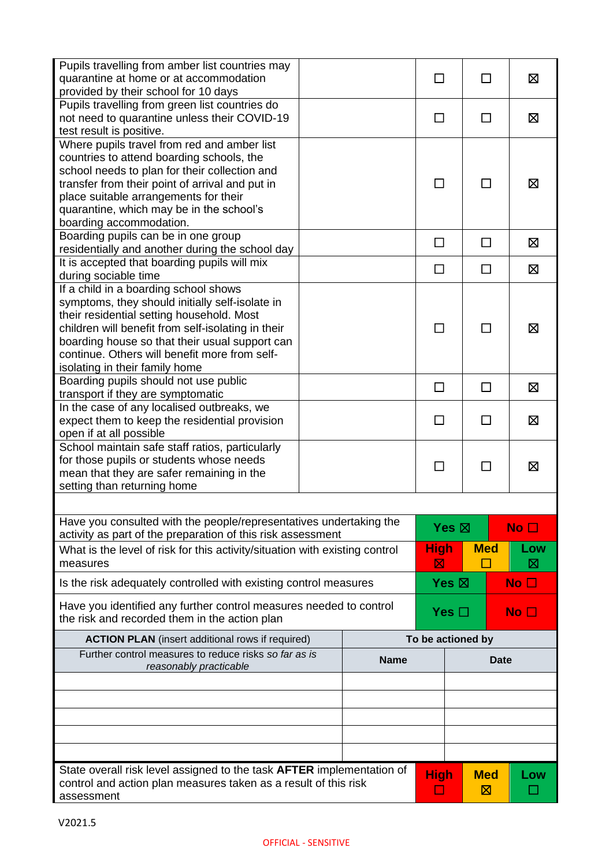| Pupils travelling from amber list countries may<br>quarantine at home or at accommodation<br>provided by their school for 10 days                                                                                                                                                                                                |             |                 | ΙI                | ⊠            |
|----------------------------------------------------------------------------------------------------------------------------------------------------------------------------------------------------------------------------------------------------------------------------------------------------------------------------------|-------------|-----------------|-------------------|--------------|
| Pupils travelling from green list countries do<br>not need to quarantine unless their COVID-19<br>test result is positive.                                                                                                                                                                                                       |             |                 | П                 | 区            |
| Where pupils travel from red and amber list<br>countries to attend boarding schools, the<br>school needs to plan for their collection and<br>transfer from their point of arrival and put in<br>place suitable arrangements for their<br>quarantine, which may be in the school's<br>boarding accommodation.                     |             | П               | П                 | ⊠            |
| Boarding pupils can be in one group                                                                                                                                                                                                                                                                                              |             | $\Box$          | П                 | Σ            |
| residentially and another during the school day<br>It is accepted that boarding pupils will mix                                                                                                                                                                                                                                  |             |                 |                   |              |
| during sociable time                                                                                                                                                                                                                                                                                                             |             | □               | □                 | 区            |
| If a child in a boarding school shows<br>symptoms, they should initially self-isolate in<br>their residential setting household. Most<br>children will benefit from self-isolating in their<br>boarding house so that their usual support can<br>continue. Others will benefit more from self-<br>isolating in their family home |             |                 |                   | X            |
| Boarding pupils should not use public                                                                                                                                                                                                                                                                                            |             | □               | □                 | ⊠            |
| transport if they are symptomatic<br>In the case of any localised outbreaks, we<br>expect them to keep the residential provision<br>open if at all possible                                                                                                                                                                      |             |                 | ΙI                | 区            |
| School maintain safe staff ratios, particularly<br>for those pupils or students whose needs<br>mean that they are safer remaining in the<br>setting than returning home                                                                                                                                                          |             |                 | $\mathbf{I}$      | ⊠            |
| Have you consulted with the people/representatives undertaking the<br>activity as part of the preparation of this risk assessment                                                                                                                                                                                                |             | Yes $\boxtimes$ |                   | No $\square$ |
| What is the level of risk for this activity/situation with existing control<br>measures                                                                                                                                                                                                                                          |             | High<br>⊠       | <b>Med</b>        | Low<br>⊠     |
| Is the risk adequately controlled with existing control measures                                                                                                                                                                                                                                                                 |             | Yes $\boxtimes$ |                   | No $\square$ |
| Have you identified any further control measures needed to control<br>the risk and recorded them in the action plan                                                                                                                                                                                                              |             | Yes $\Box$      |                   | No $\square$ |
| <b>ACTION PLAN</b> (insert additional rows if required)                                                                                                                                                                                                                                                                          |             |                 | To be actioned by |              |
| Further control measures to reduce risks so far as is<br>reasonably practicable                                                                                                                                                                                                                                                  | <b>Name</b> | Date            |                   |              |
|                                                                                                                                                                                                                                                                                                                                  |             |                 |                   |              |
|                                                                                                                                                                                                                                                                                                                                  |             |                 |                   |              |
|                                                                                                                                                                                                                                                                                                                                  |             |                 |                   |              |
|                                                                                                                                                                                                                                                                                                                                  |             |                 |                   |              |
|                                                                                                                                                                                                                                                                                                                                  |             |                 |                   |              |
| State overall risk level assigned to the task <b>AFTER</b> implementation of<br>control and action plan measures taken as a result of this risk<br>assessment                                                                                                                                                                    |             | <b>High</b>     | <b>Med</b><br>図   | Low          |